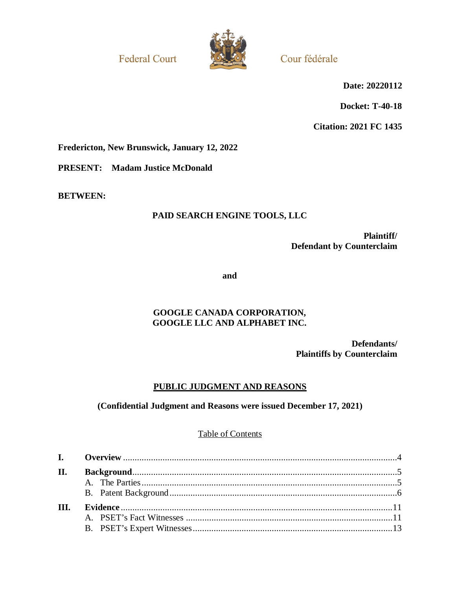**Federal Court** 



Cour fédérale

**Date: 20220112**

**Docket: T-40-18**

**Citation: 2021 FC 1435**

**Fredericton, New Brunswick, January 12, 2022**

**PRESENT: Madam Justice McDonald**

**BETWEEN:**

# **PAID SEARCH ENGINE TOOLS, LLC**

**Plaintiff/ Defendant by Counterclaim**

**and**

## **GOOGLE CANADA CORPORATION, GOOGLE LLC AND ALPHABET INC.**

**Defendants/ Plaintiffs by Counterclaim**

## **PUBLIC JUDGMENT AND REASONS**

## **(Confidential Judgment and Reasons were issued December 17, 2021)**

## Table of Contents

| II.  |  |
|------|--|
|      |  |
|      |  |
| III. |  |
|      |  |
|      |  |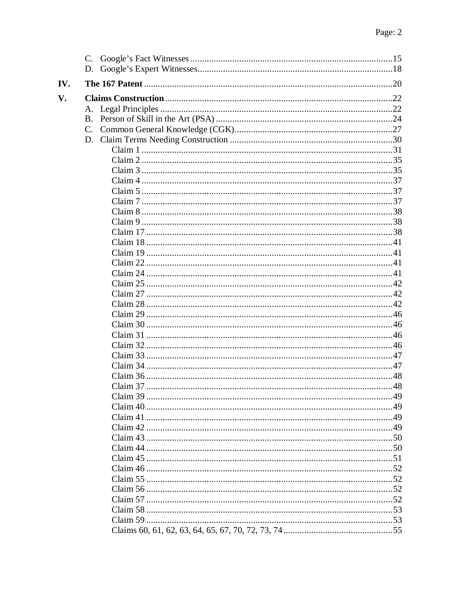| IV. |             |  |
|-----|-------------|--|
| V.  |             |  |
|     |             |  |
|     |             |  |
|     | $C_{\cdot}$ |  |
|     |             |  |
|     |             |  |
|     |             |  |
|     |             |  |
|     |             |  |
|     |             |  |
|     |             |  |
|     |             |  |
|     |             |  |
|     |             |  |
|     |             |  |
|     |             |  |
|     |             |  |
|     |             |  |
|     |             |  |
|     |             |  |
|     |             |  |
|     |             |  |
|     |             |  |
|     |             |  |
|     |             |  |
|     |             |  |
|     |             |  |
|     |             |  |
|     |             |  |
|     |             |  |
|     |             |  |
|     |             |  |
|     |             |  |
|     |             |  |
|     |             |  |
|     |             |  |
|     |             |  |
|     |             |  |
|     |             |  |
|     |             |  |
|     |             |  |
|     |             |  |
|     |             |  |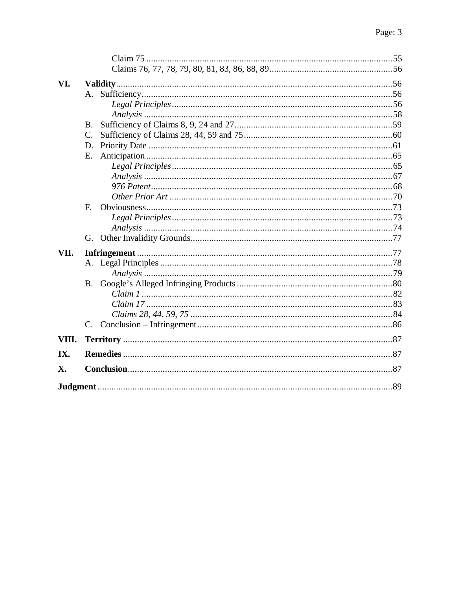| VI.        |             |  |  |  |  |  |  |  |  |
|------------|-------------|--|--|--|--|--|--|--|--|
|            |             |  |  |  |  |  |  |  |  |
|            |             |  |  |  |  |  |  |  |  |
|            |             |  |  |  |  |  |  |  |  |
|            | <b>B.</b>   |  |  |  |  |  |  |  |  |
|            | C.          |  |  |  |  |  |  |  |  |
|            | D.          |  |  |  |  |  |  |  |  |
|            | E.          |  |  |  |  |  |  |  |  |
|            |             |  |  |  |  |  |  |  |  |
|            |             |  |  |  |  |  |  |  |  |
|            |             |  |  |  |  |  |  |  |  |
|            |             |  |  |  |  |  |  |  |  |
|            | $F_{\cdot}$ |  |  |  |  |  |  |  |  |
|            |             |  |  |  |  |  |  |  |  |
|            |             |  |  |  |  |  |  |  |  |
|            | G.          |  |  |  |  |  |  |  |  |
| VII.       |             |  |  |  |  |  |  |  |  |
|            |             |  |  |  |  |  |  |  |  |
|            |             |  |  |  |  |  |  |  |  |
|            | <b>B.</b>   |  |  |  |  |  |  |  |  |
|            |             |  |  |  |  |  |  |  |  |
|            |             |  |  |  |  |  |  |  |  |
|            |             |  |  |  |  |  |  |  |  |
|            |             |  |  |  |  |  |  |  |  |
| VIII.      |             |  |  |  |  |  |  |  |  |
| IX.        |             |  |  |  |  |  |  |  |  |
| <b>X</b> . |             |  |  |  |  |  |  |  |  |
|            |             |  |  |  |  |  |  |  |  |
|            |             |  |  |  |  |  |  |  |  |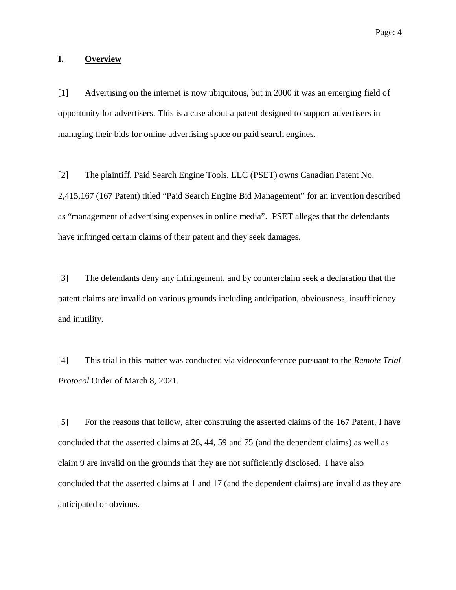#### <span id="page-3-0"></span>**I. Overview**

[1] Advertising on the internet is now ubiquitous, but in 2000 it was an emerging field of opportunity for advertisers. This is a case about a patent designed to support advertisers in managing their bids for online advertising space on paid search engines.

[2] The plaintiff, Paid Search Engine Tools, LLC (PSET) owns Canadian Patent No. 2,415,167 (167 Patent) titled "Paid Search Engine Bid Management" for an invention described as "management of advertising expenses in online media". PSET alleges that the defendants have infringed certain claims of their patent and they seek damages.

[3] The defendants deny any infringement, and by counterclaim seek a declaration that the patent claims are invalid on various grounds including anticipation, obviousness, insufficiency and inutility.

[4] This trial in this matter was conducted via videoconference pursuant to the *Remote Trial Protocol* Order of March 8, 2021.

[5] For the reasons that follow, after construing the asserted claims of the 167 Patent, I have concluded that the asserted claims at 28, 44, 59 and 75 (and the dependent claims) as well as claim 9 are invalid on the grounds that they are not sufficiently disclosed. I have also concluded that the asserted claims at 1 and 17 (and the dependent claims) are invalid as they are anticipated or obvious.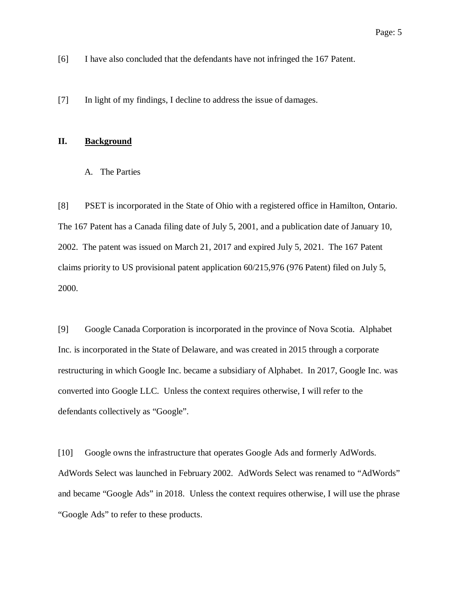[6] I have also concluded that the defendants have not infringed the 167 Patent.

[7] In light of my findings, I decline to address the issue of damages.

### <span id="page-4-0"></span>**II. Background**

#### <span id="page-4-1"></span>A. The Parties

[8] PSET is incorporated in the State of Ohio with a registered office in Hamilton, Ontario. The 167 Patent has a Canada filing date of July 5, 2001, and a publication date of January 10, 2002. The patent was issued on March 21, 2017 and expired July 5, 2021. The 167 Patent claims priority to US provisional patent application 60/215,976 (976 Patent) filed on July 5, 2000.

[9] Google Canada Corporation is incorporated in the province of Nova Scotia. Alphabet Inc. is incorporated in the State of Delaware, and was created in 2015 through a corporate restructuring in which Google Inc. became a subsidiary of Alphabet. In 2017, Google Inc. was converted into Google LLC. Unless the context requires otherwise, I will refer to the defendants collectively as "Google".

[10] Google owns the infrastructure that operates Google Ads and formerly AdWords. AdWords Select was launched in February 2002. AdWords Select was renamed to "AdWords" and became "Google Ads" in 2018. Unless the context requires otherwise, I will use the phrase "Google Ads" to refer to these products.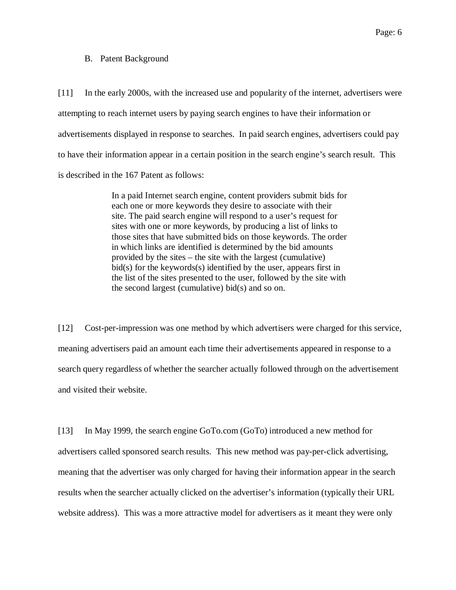#### <span id="page-5-0"></span>B. Patent Background

[11] In the early 2000s, with the increased use and popularity of the internet, advertisers were attempting to reach internet users by paying search engines to have their information or advertisements displayed in response to searches. In paid search engines, advertisers could pay to have their information appear in a certain position in the search engine's search result. This is described in the 167 Patent as follows:

> In a paid Internet search engine, content providers submit bids for each one or more keywords they desire to associate with their site. The paid search engine will respond to a user's request for sites with one or more keywords, by producing a list of links to those sites that have submitted bids on those keywords. The order in which links are identified is determined by the bid amounts provided by the sites – the site with the largest (cumulative) bid(s) for the keywords(s) identified by the user, appears first in the list of the sites presented to the user, followed by the site with the second largest (cumulative) bid(s) and so on.

[12] Cost-per-impression was one method by which advertisers were charged for this service, meaning advertisers paid an amount each time their advertisements appeared in response to a search query regardless of whether the searcher actually followed through on the advertisement and visited their website.

[13] In May 1999, the search engine GoTo.com (GoTo) introduced a new method for advertisers called sponsored search results. This new method was pay-per-click advertising, meaning that the advertiser was only charged for having their information appear in the search results when the searcher actually clicked on the advertiser's information (typically their URL website address). This was a more attractive model for advertisers as it meant they were only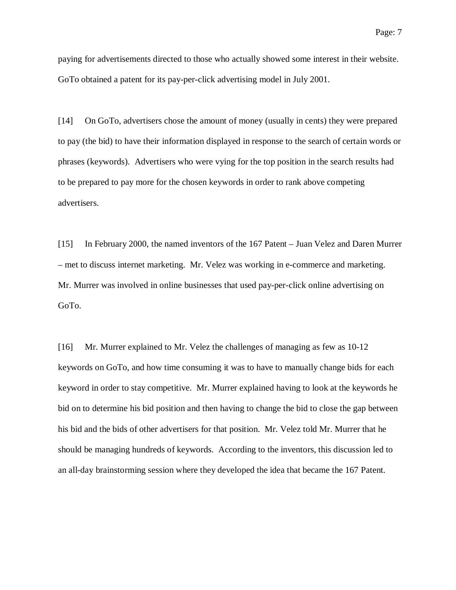paying for advertisements directed to those who actually showed some interest in their website. GoTo obtained a patent for its pay-per-click advertising model in July 2001.

[14] On GoTo, advertisers chose the amount of money (usually in cents) they were prepared to pay (the bid) to have their information displayed in response to the search of certain words or phrases (keywords). Advertisers who were vying for the top position in the search results had to be prepared to pay more for the chosen keywords in order to rank above competing advertisers.

[15] In February 2000, the named inventors of the 167 Patent – Juan Velez and Daren Murrer – met to discuss internet marketing. Mr. Velez was working in e-commerce and marketing. Mr. Murrer was involved in online businesses that used pay-per-click online advertising on GoTo.

[16] Mr. Murrer explained to Mr. Velez the challenges of managing as few as 10-12 keywords on GoTo, and how time consuming it was to have to manually change bids for each keyword in order to stay competitive. Mr. Murrer explained having to look at the keywords he bid on to determine his bid position and then having to change the bid to close the gap between his bid and the bids of other advertisers for that position. Mr. Velez told Mr. Murrer that he should be managing hundreds of keywords. According to the inventors, this discussion led to an all-day brainstorming session where they developed the idea that became the 167 Patent.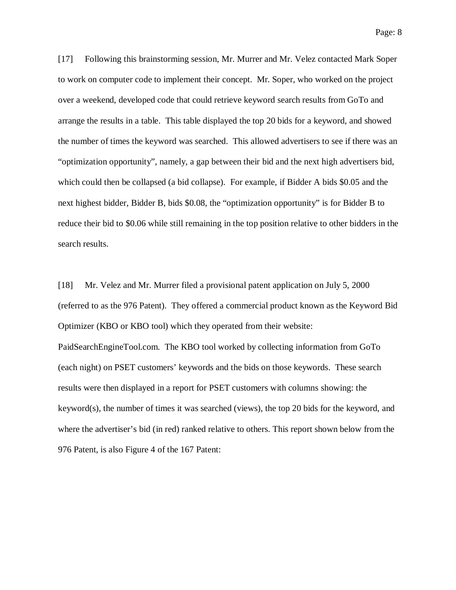Page: 8

[17] Following this brainstorming session, Mr. Murrer and Mr. Velez contacted Mark Soper to work on computer code to implement their concept. Mr. Soper, who worked on the project over a weekend, developed code that could retrieve keyword search results from GoTo and arrange the results in a table. This table displayed the top 20 bids for a keyword, and showed the number of times the keyword was searched. This allowed advertisers to see if there was an "optimization opportunity", namely, a gap between their bid and the next high advertisers bid, which could then be collapsed (a bid collapse). For example, if Bidder A bids \$0.05 and the next highest bidder, Bidder B, bids \$0.08, the "optimization opportunity" is for Bidder B to reduce their bid to \$0.06 while still remaining in the top position relative to other bidders in the search results.

[18] Mr. Velez and Mr. Murrer filed a provisional patent application on July 5, 2000 (referred to as the 976 Patent). They offered a commercial product known as the Keyword Bid Optimizer (KBO or KBO tool) which they operated from their website: PaidSearchEngineTool.com. The KBO tool worked by collecting information from GoTo (each night) on PSET customers' keywords and the bids on those keywords. These search results were then displayed in a report for PSET customers with columns showing: the keyword(s), the number of times it was searched (views), the top 20 bids for the keyword, and

where the advertiser's bid (in red) ranked relative to others. This report shown below from the

976 Patent, is also Figure 4 of the 167 Patent: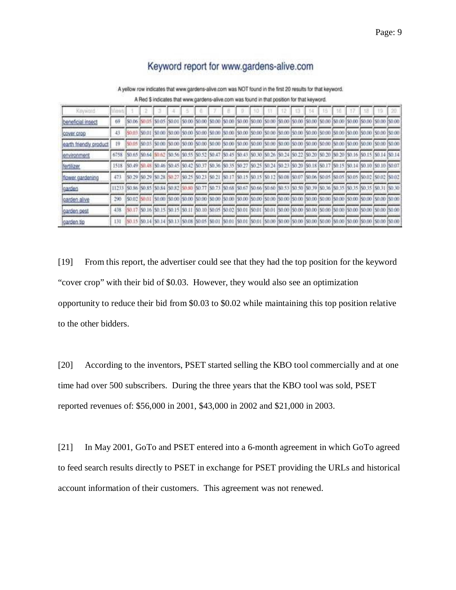# Keyword report for www.gardens-alive.com

A yellow row indicates that www.gardens-alive.com was NOT found in the first 20 results for that keyword.

A Red \$ indicates that www.gardens-alive.com was found in that position for that keyword.

| Keyword                |      |               |        |               |                                    |        |        |                             |                                                                                                                                             |        |        |                                                                |  |                 | 18 |                                                                                                                                                           |
|------------------------|------|---------------|--------|---------------|------------------------------------|--------|--------|-----------------------------|---------------------------------------------------------------------------------------------------------------------------------------------|--------|--------|----------------------------------------------------------------|--|-----------------|----|-----------------------------------------------------------------------------------------------------------------------------------------------------------|
| beneficial insect      | 69   |               |        |               | \$0.00                             | \$0.00 | \$0.00 | \$0.00                      | \$0.00 \$0.00 \$0.00 \$0.00 \$0.00 \$0.00 \$0.00 \$0.00 \$0.00 \$0.00 \$0.00                                                                |        |        |                                                                |  |                 |    |                                                                                                                                                           |
| cover crop             | 43   |               | \$0.01 |               |                                    |        |        |                             | [\$0.00  \$0.00  \$0.00  \$0.00  \$0.00  \$0.00  \$0.00  \$0.00  \$0.00  \$0.00  \$0.00  \$0.00  \$0.00  \$0.00  \$0.00  \$0.00  \$0.00     |        |        |                                                                |  |                 |    |                                                                                                                                                           |
| earth friendly product | 19   |               |        | \$0.03 \$0.00 |                                    |        |        |                             | [\$0.00  \$0.00  \$0.00  \$0.00  \$0.00  \$0.00  \$0.00  \$0.00  \$0.00  \$0.00  \$0.00  \$0.00  \$0.00  \$0.00  \$0.00  \$0.00             |        |        |                                                                |  |                 |    |                                                                                                                                                           |
| environment            | 6758 |               |        |               |                                    |        |        |                             |                                                                                                                                             |        |        |                                                                |  |                 |    | \$0.65 \$0.64 \$0.62 \$0.56 \$0.55 \$0.52 \$0.47 \$0.45 \$0.43 \$0.30 \$0.26 \$0.24 \$0.22 \$0.20 \$0.20 \$0.20 \$0.14 \$0.14 \$0.14                      |
| fortilizer             | 1518 |               |        |               |                                    |        |        |                             | \$0.49 \$0.48 \$0.46 \$0.45 \$0.42 \$0.37 \$0.36 \$0.35 \$0.27 \$0.28 \$0.24 \$0.23 \$0.20 \$0.18 \$0.17 \$0.18 \$0.14 \$0.10 \$0.10 \$0.10 |        |        |                                                                |  |                 |    |                                                                                                                                                           |
| flower gardening       | 473  |               |        |               |                                    |        |        |                             |                                                                                                                                             |        |        |                                                                |  |                 |    | 50.29 50.29 50.28 50.27 50.25 50.23 50.21 50.17 50.17 50.15 50.15 50.12 50.08 50.07 50.06 50.05 50.05 50.05 50.02 50.02 50.02                             |
| garden                 |      |               |        |               |                                    |        |        |                             |                                                                                                                                             |        |        |                                                                |  |                 |    | \$0.86 \$0.85 \$0.85 \$0.84 \$0.82 \$0.80 \$0.77 \$0.73 \$0.68 \$0.67 \$0.66 \$0.60 \$0.53 \$0.50 \$0.39 \$0.36 \$0.35 \$0.35 \$0.35 \$0.35 \$0.31 \$0.30 |
| garden alive           | 290  | \$0.02 \$0.01 |        |               |                                    |        |        |                             | 50.00 \$0.00 \$0.00 \$0.00 \$0.00 \$0.00 \$0.00 \$0.00 \$0.00 \$0.00 \$0.00 \$0.00 \$0.00 \$0.00 \$0.00 \$0.00 \$0.00 \$0.00 \$0.00         |        |        |                                                                |  |                 |    |                                                                                                                                                           |
| garden pest            | 438  |               |        |               | \$0.17 \$0.16 \$0.15 \$0.15 \$0.11 |        |        | \$0.10 \$0.05 \$0.02 \$0.01 |                                                                                                                                             | \$0.01 | \$0.01 | \$0.00 \$0.00 \$0.00 \$0.00 \$0.00 \$0.00 \$0.00 \$0.00 \$0.00 |  |                 |    |                                                                                                                                                           |
| carden tip             | 131  |               |        |               | \$0.08                             | \$0.05 | \$0.01 | 50.01                       | 5001                                                                                                                                        | 50.01  |        | 50.00 50.00 50.00 50.00                                        |  | \$9.00 (\$9.00) |    |                                                                                                                                                           |

[19] From this report, the advertiser could see that they had the top position for the keyword "cover crop" with their bid of \$0.03. However, they would also see an optimization opportunity to reduce their bid from \$0.03 to \$0.02 while maintaining this top position relative to the other bidders.

[20] According to the inventors, PSET started selling the KBO tool commercially and at one time had over 500 subscribers. During the three years that the KBO tool was sold, PSET reported revenues of: \$56,000 in 2001, \$43,000 in 2002 and \$21,000 in 2003.

[21] In May 2001, GoTo and PSET entered into a 6-month agreement in which GoTo agreed to feed search results directly to PSET in exchange for PSET providing the URLs and historical account information of their customers. This agreement was not renewed.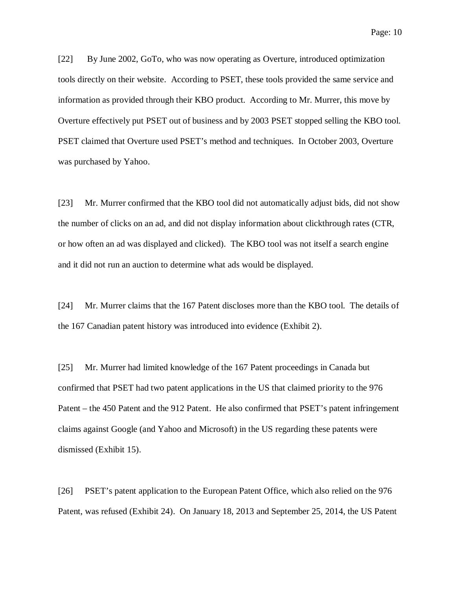Page: 10

[22] By June 2002, GoTo, who was now operating as Overture, introduced optimization tools directly on their website. According to PSET, these tools provided the same service and information as provided through their KBO product. According to Mr. Murrer, this move by Overture effectively put PSET out of business and by 2003 PSET stopped selling the KBO tool. PSET claimed that Overture used PSET's method and techniques. In October 2003, Overture was purchased by Yahoo.

[23] Mr. Murrer confirmed that the KBO tool did not automatically adjust bids, did not show the number of clicks on an ad, and did not display information about clickthrough rates (CTR, or how often an ad was displayed and clicked). The KBO tool was not itself a search engine and it did not run an auction to determine what ads would be displayed.

[24] Mr. Murrer claims that the 167 Patent discloses more than the KBO tool. The details of the 167 Canadian patent history was introduced into evidence (Exhibit 2).

[25] Mr. Murrer had limited knowledge of the 167 Patent proceedings in Canada but confirmed that PSET had two patent applications in the US that claimed priority to the 976 Patent – the 450 Patent and the 912 Patent. He also confirmed that PSET's patent infringement claims against Google (and Yahoo and Microsoft) in the US regarding these patents were dismissed (Exhibit 15).

[26] PSET's patent application to the European Patent Office, which also relied on the 976 Patent, was refused (Exhibit 24). On January 18, 2013 and September 25, 2014, the US Patent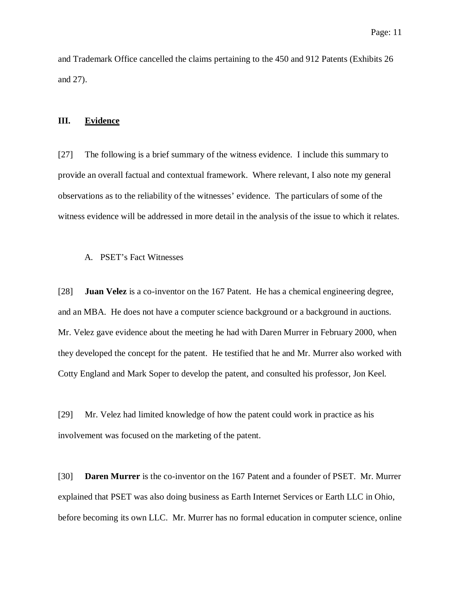and Trademark Office cancelled the claims pertaining to the 450 and 912 Patents (Exhibits 26 and 27).

#### <span id="page-10-0"></span>**III. Evidence**

[27] The following is a brief summary of the witness evidence. I include this summary to provide an overall factual and contextual framework. Where relevant, I also note my general observations as to the reliability of the witnesses' evidence. The particulars of some of the witness evidence will be addressed in more detail in the analysis of the issue to which it relates.

#### <span id="page-10-1"></span>A. PSET's Fact Witnesses

[28] **Juan Velez** is a co-inventor on the 167 Patent. He has a chemical engineering degree, and an MBA. He does not have a computer science background or a background in auctions. Mr. Velez gave evidence about the meeting he had with Daren Murrer in February 2000, when they developed the concept for the patent. He testified that he and Mr. Murrer also worked with Cotty England and Mark Soper to develop the patent, and consulted his professor, Jon Keel.

[29] Mr. Velez had limited knowledge of how the patent could work in practice as his involvement was focused on the marketing of the patent.

[30] **Daren Murrer** is the co-inventor on the 167 Patent and a founder of PSET. Mr. Murrer explained that PSET was also doing business as Earth Internet Services or Earth LLC in Ohio, before becoming its own LLC. Mr. Murrer has no formal education in computer science, online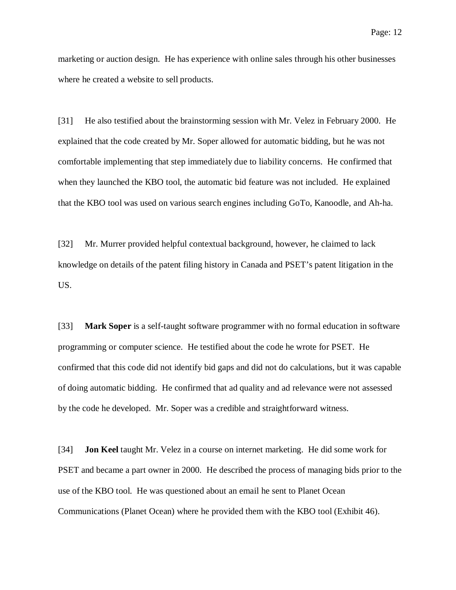marketing or auction design. He has experience with online sales through his other businesses where he created a website to sell products.

[31] He also testified about the brainstorming session with Mr. Velez in February 2000. He explained that the code created by Mr. Soper allowed for automatic bidding, but he was not comfortable implementing that step immediately due to liability concerns. He confirmed that when they launched the KBO tool, the automatic bid feature was not included. He explained that the KBO tool was used on various search engines including GoTo, Kanoodle, and Ah-ha.

[32] Mr. Murrer provided helpful contextual background, however, he claimed to lack knowledge on details of the patent filing history in Canada and PSET's patent litigation in the US.

[33] **Mark Soper** is a self-taught software programmer with no formal education in software programming or computer science. He testified about the code he wrote for PSET. He confirmed that this code did not identify bid gaps and did not do calculations, but it was capable of doing automatic bidding. He confirmed that ad quality and ad relevance were not assessed by the code he developed. Mr. Soper was a credible and straightforward witness.

[34] **Jon Keel** taught Mr. Velez in a course on internet marketing. He did some work for PSET and became a part owner in 2000. He described the process of managing bids prior to the use of the KBO tool. He was questioned about an email he sent to Planet Ocean Communications (Planet Ocean) where he provided them with the KBO tool (Exhibit 46).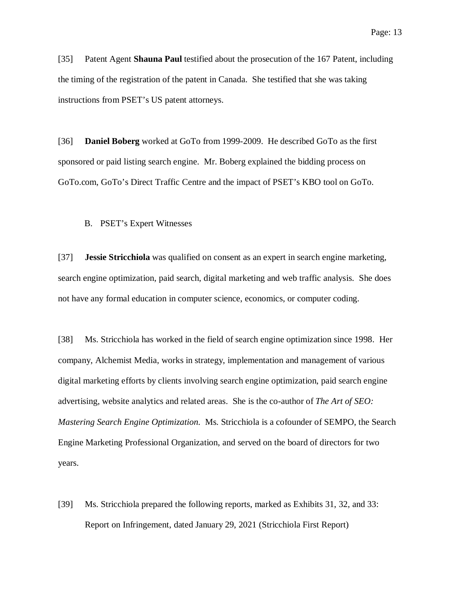[35] Patent Agent **Shauna Paul** testified about the prosecution of the 167 Patent, including the timing of the registration of the patent in Canada. She testified that she was taking instructions from PSET's US patent attorneys.

[36] **Daniel Boberg** worked at GoTo from 1999-2009. He described GoTo as the first sponsored or paid listing search engine. Mr. Boberg explained the bidding process on GoTo.com, GoTo's Direct Traffic Centre and the impact of PSET's KBO tool on GoTo.

<span id="page-12-0"></span>B. PSET's Expert Witnesses

[37] **Jessie Stricchiola** was qualified on consent as an expert in search engine marketing, search engine optimization, paid search, digital marketing and web traffic analysis. She does not have any formal education in computer science, economics, or computer coding.

[38] Ms. Stricchiola has worked in the field of search engine optimization since 1998. Her company, Alchemist Media, works in strategy, implementation and management of various digital marketing efforts by clients involving search engine optimization, paid search engine advertising, website analytics and related areas. She is the co-author of *The Art of SEO: Mastering Search Engine Optimization.* Ms. Stricchiola is a cofounder of SEMPO, the Search Engine Marketing Professional Organization, and served on the board of directors for two years.

[39] Ms. Stricchiola prepared the following reports, marked as Exhibits 31, 32, and 33: Report on Infringement, dated January 29, 2021 (Stricchiola First Report)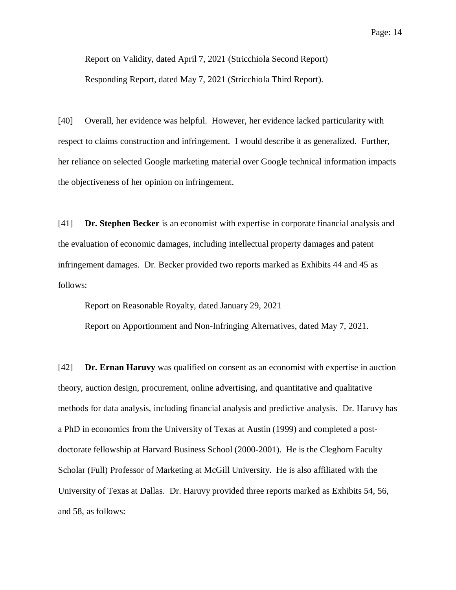Report on Validity, dated April 7, 2021 (Stricchiola Second Report) Responding Report, dated May 7, 2021 (Stricchiola Third Report).

[40] Overall, her evidence was helpful. However, her evidence lacked particularity with respect to claims construction and infringement. I would describe it as generalized. Further, her reliance on selected Google marketing material over Google technical information impacts the objectiveness of her opinion on infringement.

[41] **Dr. Stephen Becker** is an economist with expertise in corporate financial analysis and the evaluation of economic damages, including intellectual property damages and patent infringement damages. Dr. Becker provided two reports marked as Exhibits 44 and 45 as follows:

Report on Reasonable Royalty, dated January 29, 2021

Report on Apportionment and Non-Infringing Alternatives, dated May 7, 2021.

[42] **Dr. Ernan Haruvy** was qualified on consent as an economist with expertise in auction theory, auction design, procurement, online advertising, and quantitative and qualitative methods for data analysis, including financial analysis and predictive analysis. Dr. Haruvy has a PhD in economics from the University of Texas at Austin (1999) and completed a postdoctorate fellowship at Harvard Business School (2000-2001). He is the Cleghorn Faculty Scholar (Full) Professor of Marketing at McGill University. He is also affiliated with the University of Texas at Dallas. Dr. Haruvy provided three reports marked as Exhibits 54, 56, and 58, as follows: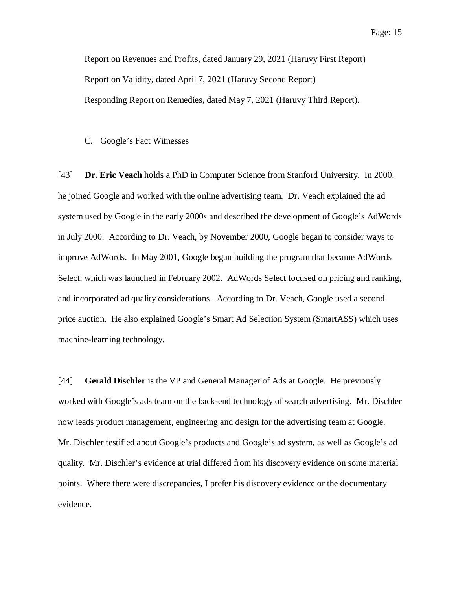Report on Revenues and Profits, dated January 29, 2021 (Haruvy First Report) Report on Validity, dated April 7, 2021 (Haruvy Second Report) Responding Report on Remedies, dated May 7, 2021 (Haruvy Third Report).

#### <span id="page-14-0"></span>C. Google's Fact Witnesses

[43] **Dr. Eric Veach** holds a PhD in Computer Science from Stanford University. In 2000, he joined Google and worked with the online advertising team. Dr. Veach explained the ad system used by Google in the early 2000s and described the development of Google's AdWords in July 2000. According to Dr. Veach, by November 2000, Google began to consider ways to improve AdWords. In May 2001, Google began building the program that became AdWords Select, which was launched in February 2002. AdWords Select focused on pricing and ranking, and incorporated ad quality considerations. According to Dr. Veach, Google used a second price auction. He also explained Google's Smart Ad Selection System (SmartASS) which uses machine-learning technology.

[44] **Gerald Dischler** is the VP and General Manager of Ads at Google. He previously worked with Google's ads team on the back-end technology of search advertising. Mr. Dischler now leads product management, engineering and design for the advertising team at Google. Mr. Dischler testified about Google's products and Google's ad system, as well as Google's ad quality. Mr. Dischler's evidence at trial differed from his discovery evidence on some material points. Where there were discrepancies, I prefer his discovery evidence or the documentary evidence.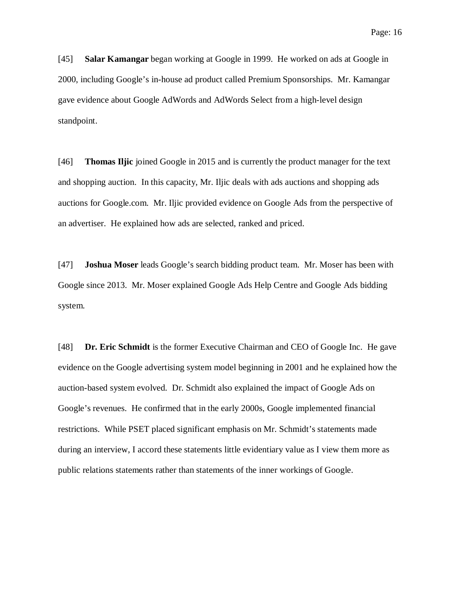[45] **Salar Kamangar** began working at Google in 1999. He worked on ads at Google in 2000, including Google's in-house ad product called Premium Sponsorships. Mr. Kamangar gave evidence about Google AdWords and AdWords Select from a high-level design standpoint.

[46] **Thomas Iljic** joined Google in 2015 and is currently the product manager for the text and shopping auction. In this capacity, Mr. Iljic deals with ads auctions and shopping ads auctions for Google.com. Mr. Iljic provided evidence on Google Ads from the perspective of an advertiser. He explained how ads are selected, ranked and priced.

[47] **Joshua Moser** leads Google's search bidding product team. Mr. Moser has been with Google since 2013. Mr. Moser explained Google Ads Help Centre and Google Ads bidding system.

[48] **Dr. Eric Schmidt** is the former Executive Chairman and CEO of Google Inc. He gave evidence on the Google advertising system model beginning in 2001 and he explained how the auction-based system evolved. Dr. Schmidt also explained the impact of Google Ads on Google's revenues. He confirmed that in the early 2000s, Google implemented financial restrictions. While PSET placed significant emphasis on Mr. Schmidt's statements made during an interview, I accord these statements little evidentiary value as I view them more as public relations statements rather than statements of the inner workings of Google.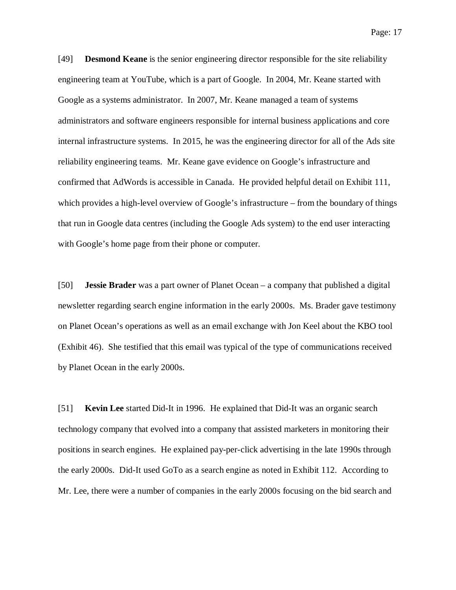Page: 17

[49] **Desmond Keane** is the senior engineering director responsible for the site reliability engineering team at YouTube, which is a part of Google. In 2004, Mr. Keane started with Google as a systems administrator. In 2007, Mr. Keane managed a team of systems administrators and software engineers responsible for internal business applications and core internal infrastructure systems. In 2015, he was the engineering director for all of the Ads site reliability engineering teams. Mr. Keane gave evidence on Google's infrastructure and confirmed that AdWords is accessible in Canada. He provided helpful detail on Exhibit 111, which provides a high-level overview of Google's infrastructure – from the boundary of things that run in Google data centres (including the Google Ads system) to the end user interacting with Google's home page from their phone or computer.

[50] **Jessie Brader** was a part owner of Planet Ocean – a company that published a digital newsletter regarding search engine information in the early 2000s. Ms. Brader gave testimony on Planet Ocean's operations as well as an email exchange with Jon Keel about the KBO tool (Exhibit 46). She testified that this email was typical of the type of communications received by Planet Ocean in the early 2000s.

[51] **Kevin Lee** started Did-It in 1996. He explained that Did-It was an organic search technology company that evolved into a company that assisted marketers in monitoring their positions in search engines. He explained pay-per-click advertising in the late 1990s through the early 2000s. Did-It used GoTo as a search engine as noted in Exhibit 112. According to Mr. Lee, there were a number of companies in the early 2000s focusing on the bid search and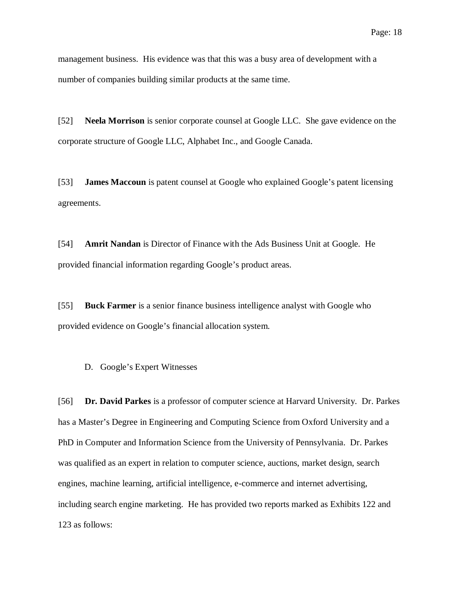management business. His evidence was that this was a busy area of development with a number of companies building similar products at the same time.

[52] **Neela Morrison** is senior corporate counsel at Google LLC. She gave evidence on the corporate structure of Google LLC, Alphabet Inc., and Google Canada.

[53] **James Maccoun** is patent counsel at Google who explained Google's patent licensing agreements.

[54] **Amrit Nandan** is Director of Finance with the Ads Business Unit at Google. He provided financial information regarding Google's product areas.

[55] **Buck Farmer** is a senior finance business intelligence analyst with Google who provided evidence on Google's financial allocation system.

<span id="page-17-0"></span>D. Google's Expert Witnesses

[56] **Dr. David Parkes** is a professor of computer science at Harvard University. Dr. Parkes has a Master's Degree in Engineering and Computing Science from Oxford University and a PhD in Computer and Information Science from the University of Pennsylvania. Dr. Parkes was qualified as an expert in relation to computer science, auctions, market design, search engines, machine learning, artificial intelligence, e-commerce and internet advertising, including search engine marketing. He has provided two reports marked as Exhibits 122 and 123 as follows: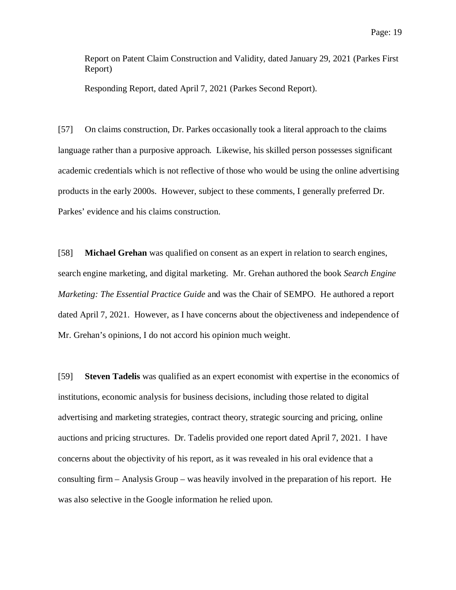Report on Patent Claim Construction and Validity, dated January 29, 2021 (Parkes First Report)

Responding Report, dated April 7, 2021 (Parkes Second Report).

[57] On claims construction, Dr. Parkes occasionally took a literal approach to the claims language rather than a purposive approach. Likewise, his skilled person possesses significant academic credentials which is not reflective of those who would be using the online advertising products in the early 2000s. However, subject to these comments, I generally preferred Dr. Parkes' evidence and his claims construction.

[58] **Michael Grehan** was qualified on consent as an expert in relation to search engines, search engine marketing, and digital marketing. Mr. Grehan authored the book *Search Engine Marketing: The Essential Practice Guide* and was the Chair of SEMPO. He authored a report dated April 7, 2021. However, as I have concerns about the objectiveness and independence of Mr. Grehan's opinions, I do not accord his opinion much weight.

[59] **Steven Tadelis** was qualified as an expert economist with expertise in the economics of institutions, economic analysis for business decisions, including those related to digital advertising and marketing strategies, contract theory, strategic sourcing and pricing, online auctions and pricing structures. Dr. Tadelis provided one report dated April 7, 2021. I have concerns about the objectivity of his report, as it was revealed in his oral evidence that a consulting firm – Analysis Group – was heavily involved in the preparation of his report. He was also selective in the Google information he relied upon.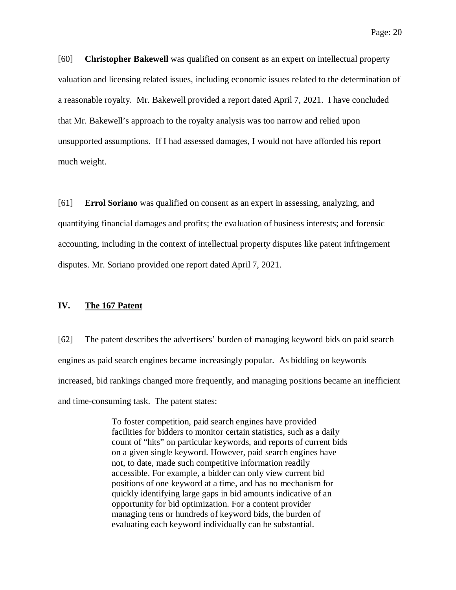[60] **Christopher Bakewell** was qualified on consent as an expert on intellectual property valuation and licensing related issues, including economic issues related to the determination of a reasonable royalty. Mr. Bakewell provided a report dated April 7, 2021. I have concluded that Mr. Bakewell's approach to the royalty analysis was too narrow and relied upon unsupported assumptions. If I had assessed damages, I would not have afforded his report much weight.

[61] **Errol Soriano** was qualified on consent as an expert in assessing, analyzing, and quantifying financial damages and profits; the evaluation of business interests; and forensic accounting, including in the context of intellectual property disputes like patent infringement disputes. Mr. Soriano provided one report dated April 7, 2021.

## <span id="page-19-0"></span>**IV. The 167 Patent**

[62] The patent describes the advertisers' burden of managing keyword bids on paid search engines as paid search engines became increasingly popular. As bidding on keywords increased, bid rankings changed more frequently, and managing positions became an inefficient and time-consuming task. The patent states:

> To foster competition, paid search engines have provided facilities for bidders to monitor certain statistics, such as a daily count of "hits" on particular keywords, and reports of current bids on a given single keyword. However, paid search engines have not, to date, made such competitive information readily accessible. For example, a bidder can only view current bid positions of one keyword at a time, and has no mechanism for quickly identifying large gaps in bid amounts indicative of an opportunity for bid optimization. For a content provider managing tens or hundreds of keyword bids, the burden of evaluating each keyword individually can be substantial.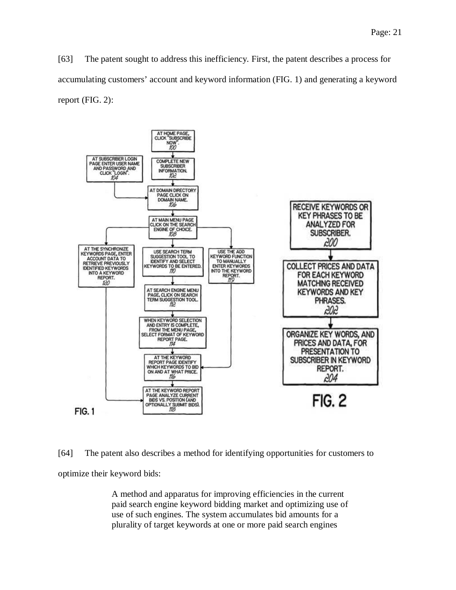[63] The patent sought to address this inefficiency. First, the patent describes a process for accumulating customers' account and keyword information (FIG. 1) and generating a keyword report (FIG. 2):



[64] The patent also describes a method for identifying opportunities for customers to optimize their keyword bids:

> A method and apparatus for improving efficiencies in the current paid search engine keyword bidding market and optimizing use of use of such engines. The system accumulates bid amounts for a plurality of target keywords at one or more paid search engines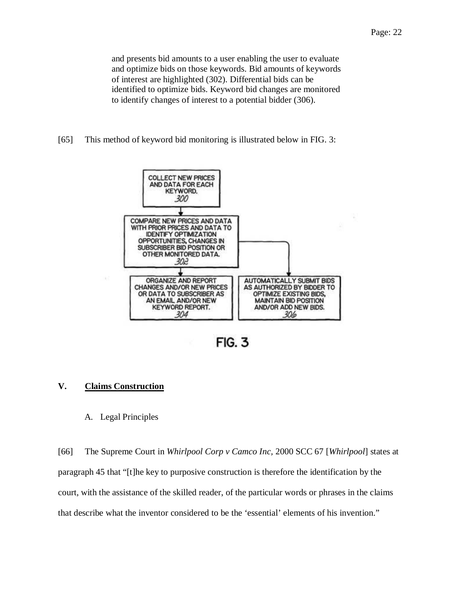[65] This method of keyword bid monitoring is illustrated below in FIG. 3:



**FIG. 3** 

## <span id="page-21-0"></span>**V. Claims Construction**

### <span id="page-21-1"></span>A. Legal Principles

[66] The Supreme Court in *Whirlpool Corp v Camco Inc,* 2000 SCC 67 [*Whirlpool*] states at paragraph 45 that "[t]he key to purposive construction is therefore the identification by the court, with the assistance of the skilled reader, of the particular words or phrases in the claims that describe what the inventor considered to be the 'essential' elements of his invention."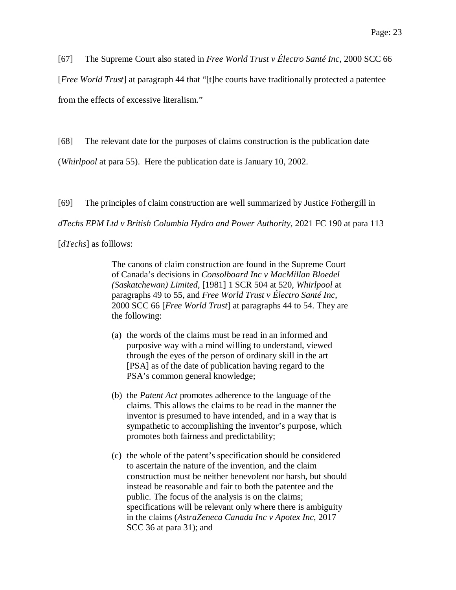[67] The Supreme Court also stated in *Free World Trust v Électro Santé Inc,* 2000 SCC 66

[*Free World Trust*] at paragraph 44 that "[t]he courts have traditionally protected a patentee from the effects of excessive literalism."

[68] The relevant date for the purposes of claims construction is the publication date

(*Whirlpool* at para 55). Here the publication date is January 10, 2002.

[69] The principles of claim construction are well summarized by Justice Fothergill in

*dTechs EPM Ltd v British Columbia Hydro and Power Authority,* 2021 FC 190 at para 113

[*dTechs*] as folllows:

The canons of claim construction are found in the Supreme Court of Canada's decisions in *Consolboard Inc v MacMillan Bloedel (Saskatchewan) Limited*, [1981] 1 SCR 504 at 520, *Whirlpool* at paragraphs 49 to 55, and *Free World Trust v Électro Santé Inc*, 2000 SCC 66 [*Free World Trust*] at paragraphs 44 to 54. They are the following:

- (a) the words of the claims must be read in an informed and purposive way with a mind willing to understand, viewed through the eyes of the person of ordinary skill in the art [PSA] as of the date of publication having regard to the PSA's common general knowledge;
- (b) the *Patent Act* promotes adherence to the language of the claims. This allows the claims to be read in the manner the inventor is presumed to have intended, and in a way that is sympathetic to accomplishing the inventor's purpose, which promotes both fairness and predictability;
- (c) the whole of the patent's specification should be considered to ascertain the nature of the invention, and the claim construction must be neither benevolent nor harsh, but should instead be reasonable and fair to both the patentee and the public. The focus of the analysis is on the claims; specifications will be relevant only where there is ambiguity in the claims (*AstraZeneca Canada Inc v Apotex Inc*, 2017 SCC 36 at para 31); and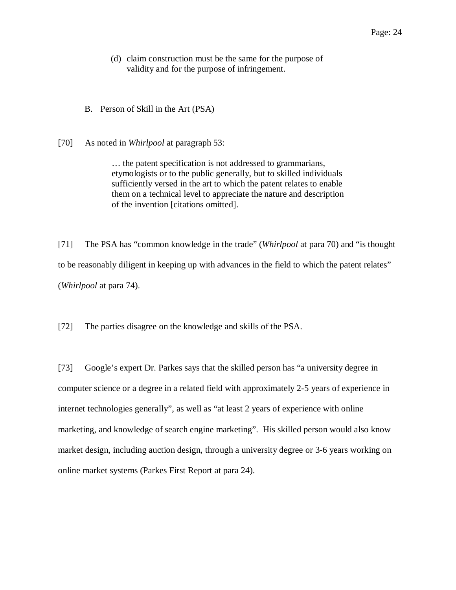- (d) claim construction must be the same for the purpose of validity and for the purpose of infringement.
- <span id="page-23-0"></span>B. Person of Skill in the Art (PSA)
- [70] As noted in *Whirlpool* at paragraph 53:

… the patent specification is not addressed to grammarians, etymologists or to the public generally, but to skilled individuals sufficiently versed in the art to which the patent relates to enable them on a technical level to appreciate the nature and description of the invention [citations omitted].

[71] The PSA has "common knowledge in the trade" (*Whirlpool* at para 70) and "is thought to be reasonably diligent in keeping up with advances in the field to which the patent relates" (*Whirlpool* at para 74).

[72] The parties disagree on the knowledge and skills of the PSA.

[73] Google's expert Dr. Parkes says that the skilled person has "a university degree in computer science or a degree in a related field with approximately 2-5 years of experience in internet technologies generally", as well as "at least 2 years of experience with online marketing, and knowledge of search engine marketing". His skilled person would also know market design, including auction design, through a university degree or 3-6 years working on online market systems (Parkes First Report at para 24).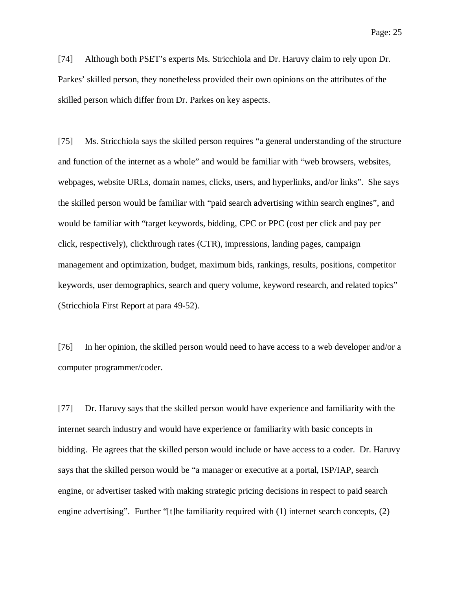[74] Although both PSET's experts Ms. Stricchiola and Dr. Haruvy claim to rely upon Dr. Parkes' skilled person, they nonetheless provided their own opinions on the attributes of the skilled person which differ from Dr. Parkes on key aspects.

[75] Ms. Stricchiola says the skilled person requires "a general understanding of the structure and function of the internet as a whole" and would be familiar with "web browsers, websites, webpages, website URLs, domain names, clicks, users, and hyperlinks, and/or links". She says the skilled person would be familiar with "paid search advertising within search engines", and would be familiar with "target keywords, bidding, CPC or PPC (cost per click and pay per click, respectively), clickthrough rates (CTR), impressions, landing pages, campaign management and optimization, budget, maximum bids, rankings, results, positions, competitor keywords, user demographics, search and query volume, keyword research, and related topics" (Stricchiola First Report at para 49-52).

[76] In her opinion, the skilled person would need to have access to a web developer and/or a computer programmer/coder.

[77] Dr. Haruvy says that the skilled person would have experience and familiarity with the internet search industry and would have experience or familiarity with basic concepts in bidding. He agrees that the skilled person would include or have access to a coder. Dr. Haruvy says that the skilled person would be "a manager or executive at a portal, ISP/IAP, search engine, or advertiser tasked with making strategic pricing decisions in respect to paid search engine advertising". Further "[t]he familiarity required with (1) internet search concepts, (2)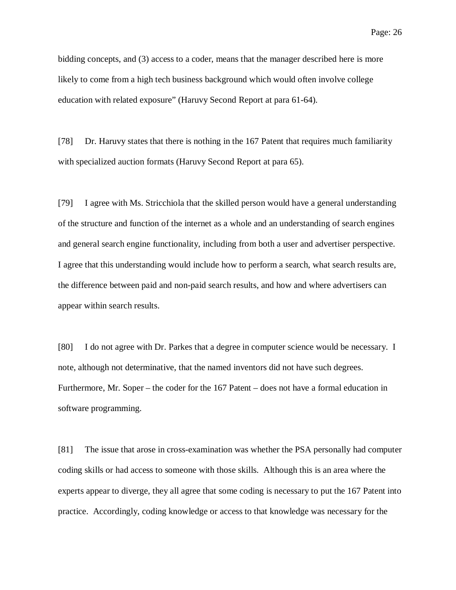bidding concepts, and (3) access to a coder, means that the manager described here is more likely to come from a high tech business background which would often involve college education with related exposure" (Haruvy Second Report at para 61-64).

[78] Dr. Haruvy states that there is nothing in the 167 Patent that requires much familiarity with specialized auction formats (Haruvy Second Report at para 65).

[79] I agree with Ms. Stricchiola that the skilled person would have a general understanding of the structure and function of the internet as a whole and an understanding of search engines and general search engine functionality, including from both a user and advertiser perspective. I agree that this understanding would include how to perform a search, what search results are, the difference between paid and non-paid search results, and how and where advertisers can appear within search results.

[80] I do not agree with Dr. Parkes that a degree in computer science would be necessary. I note, although not determinative, that the named inventors did not have such degrees. Furthermore, Mr. Soper – the coder for the 167 Patent – does not have a formal education in software programming.

[81] The issue that arose in cross-examination was whether the PSA personally had computer coding skills or had access to someone with those skills. Although this is an area where the experts appear to diverge, they all agree that some coding is necessary to put the 167 Patent into practice. Accordingly, coding knowledge or access to that knowledge was necessary for the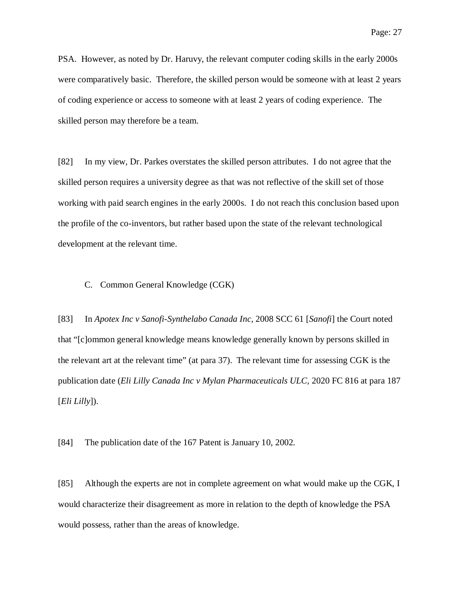PSA. However, as noted by Dr. Haruvy, the relevant computer coding skills in the early 2000s were comparatively basic. Therefore, the skilled person would be someone with at least 2 years of coding experience or access to someone with at least 2 years of coding experience. The skilled person may therefore be a team.

[82] In my view, Dr. Parkes overstates the skilled person attributes. I do not agree that the skilled person requires a university degree as that was not reflective of the skill set of those working with paid search engines in the early 2000s. I do not reach this conclusion based upon the profile of the co-inventors, but rather based upon the state of the relevant technological development at the relevant time.

#### <span id="page-26-0"></span>C. Common General Knowledge (CGK)

[83] In *Apotex Inc v Sanofi-Synthelabo Canada Inc,* 2008 SCC 61 [*Sanofi*] the Court noted that "[c]ommon general knowledge means knowledge generally known by persons skilled in the relevant art at the relevant time" (at para 37). The relevant time for assessing CGK is the publication date (*Eli Lilly Canada Inc v Mylan Pharmaceuticals ULC,* 2020 FC 816 at para 187 [*Eli Lilly*]).

[84] The publication date of the 167 Patent is January 10, 2002.

[85] Although the experts are not in complete agreement on what would make up the CGK, I would characterize their disagreement as more in relation to the depth of knowledge the PSA would possess, rather than the areas of knowledge.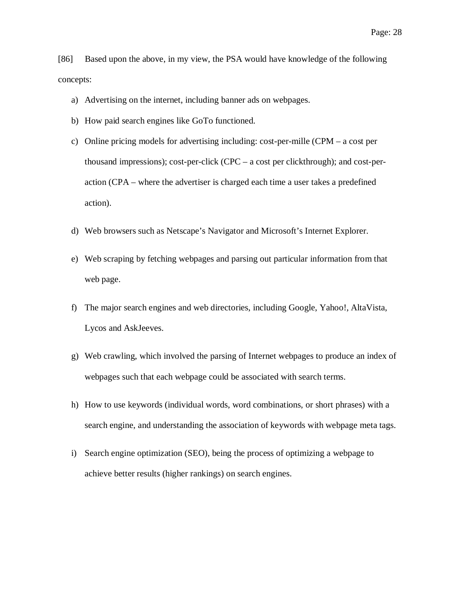[86] Based upon the above, in my view, the PSA would have knowledge of the following concepts:

- a) Advertising on the internet, including banner ads on webpages.
- b) How paid search engines like GoTo functioned.
- c) Online pricing models for advertising including: cost-per-mille (CPM a cost per thousand impressions); cost-per-click (CPC – a cost per clickthrough); and cost-peraction (CPA – where the advertiser is charged each time a user takes a predefined action).
- d) Web browsers such as Netscape's Navigator and Microsoft's Internet Explorer.
- e) Web scraping by fetching webpages and parsing out particular information from that web page.
- f) The major search engines and web directories, including Google, Yahoo!, AltaVista, Lycos and AskJeeves.
- g) Web crawling, which involved the parsing of Internet webpages to produce an index of webpages such that each webpage could be associated with search terms.
- h) How to use keywords (individual words, word combinations, or short phrases) with a search engine, and understanding the association of keywords with webpage meta tags.
- i) Search engine optimization (SEO), being the process of optimizing a webpage to achieve better results (higher rankings) on search engines.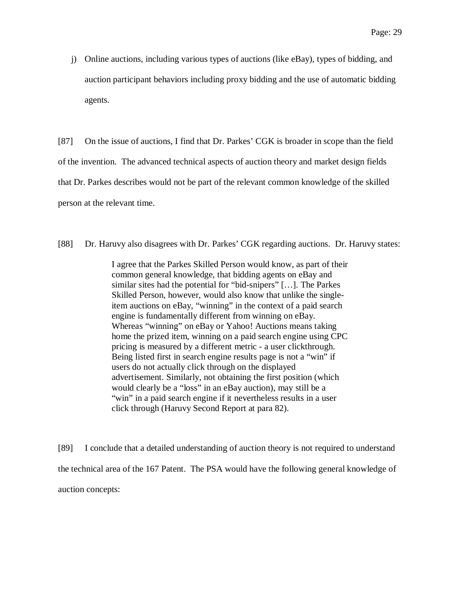j) Online auctions, including various types of auctions (like eBay), types of bidding, and auction participant behaviors including proxy bidding and the use of automatic bidding agents.

[87] On the issue of auctions, I find that Dr. Parkes' CGK is broader in scope than the field of the invention. The advanced technical aspects of auction theory and market design fields that Dr. Parkes describes would not be part of the relevant common knowledge of the skilled person at the relevant time.

[88] Dr. Haruvy also disagrees with Dr. Parkes' CGK regarding auctions. Dr. Haruvy states:

I agree that the Parkes Skilled Person would know, as part of their common general knowledge, that bidding agents on eBay and similar sites had the potential for "bid-snipers" […]. The Parkes Skilled Person, however, would also know that unlike the singleitem auctions on eBay, "winning" in the context of a paid search engine is fundamentally different from winning on eBay. Whereas "winning" on eBay or Yahoo! Auctions means taking home the prized item, winning on a paid search engine using CPC pricing is measured by a different metric - a user clickthrough. Being listed first in search engine results page is not a "win" if users do not actually click through on the displayed advertisement. Similarly, not obtaining the first position (which would clearly be a "loss" in an eBay auction), may still be a "win" in a paid search engine if it nevertheless results in a user click through (Haruvy Second Report at para 82).

[89] I conclude that a detailed understanding of auction theory is not required to understand the technical area of the 167 Patent. The PSA would have the following general knowledge of auction concepts: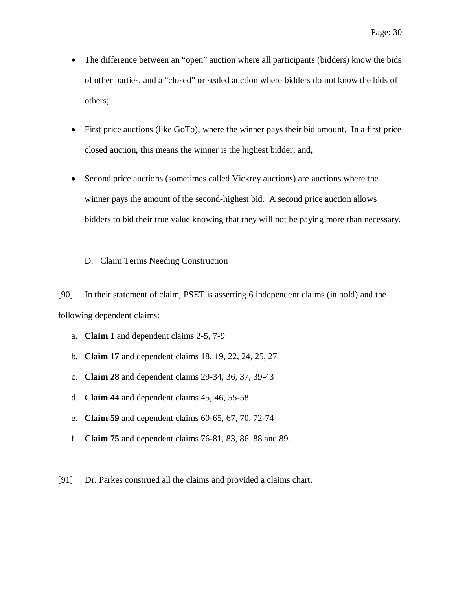- The difference between an "open" auction where all participants (bidders) know the bids of other parties, and a "closed" or sealed auction where bidders do not know the bids of others;
- First price auctions (like GoTo), where the winner pays their bid amount. In a first price closed auction, this means the winner is the highest bidder; and,
- Second price auctions (sometimes called Vickrey auctions) are auctions where the winner pays the amount of the second-highest bid. A second price auction allows bidders to bid their true value knowing that they will not be paying more than necessary.

#### <span id="page-29-0"></span>D. Claim Terms Needing Construction

[90] In their statement of claim, PSET is asserting 6 independent claims (in bold) and the following dependent claims:

- a. **Claim 1** and dependent claims 2-5, 7-9
- b. **Claim 17** and dependent claims 18, 19, 22, 24, 25, 27
- c. **Claim 28** and dependent claims 29-34, 36, 37, 39-43
- d. **Claim 44** and dependent claims 45, 46, 55-58
- e. **Claim 59** and dependent claims 60-65, 67, 70, 72-74
- f. **Claim 75** and dependent claims 76-81, 83, 86, 88 and 89.
- [91] Dr. Parkes construed all the claims and provided a claims chart.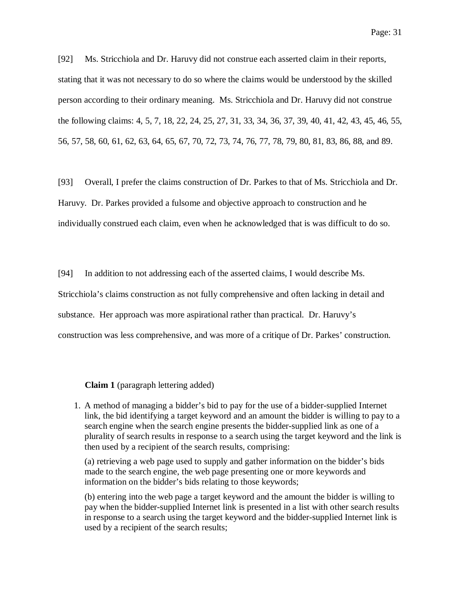[92] Ms. Stricchiola and Dr. Haruvy did not construe each asserted claim in their reports, stating that it was not necessary to do so where the claims would be understood by the skilled person according to their ordinary meaning. Ms. Stricchiola and Dr. Haruvy did not construe the following claims: 4, 5, 7, 18, 22, 24, 25, 27, 31, 33, 34, 36, 37, 39, 40, 41, 42, 43, 45, 46, 55, 56, 57, 58, 60, 61, 62, 63, 64, 65, 67, 70, 72, 73, 74, 76, 77, 78, 79, 80, 81, 83, 86, 88, and 89.

[93] Overall, I prefer the claims construction of Dr. Parkes to that of Ms. Stricchiola and Dr. Haruvy. Dr. Parkes provided a fulsome and objective approach to construction and he individually construed each claim, even when he acknowledged that is was difficult to do so.

[94] In addition to not addressing each of the asserted claims, I would describe Ms.

Stricchiola's claims construction as not fully comprehensive and often lacking in detail and

substance. Her approach was more aspirational rather than practical. Dr. Haruvy's

construction was less comprehensive, and was more of a critique of Dr. Parkes' construction.

**Claim 1** (paragraph lettering added)

<span id="page-30-0"></span>1. A method of managing a bidder's bid to pay for the use of a bidder-supplied Internet link, the bid identifying a target keyword and an amount the bidder is willing to pay to a search engine when the search engine presents the bidder-supplied link as one of a plurality of search results in response to a search using the target keyword and the link is then used by a recipient of the search results, comprising:

(a) retrieving a web page used to supply and gather information on the bidder's bids made to the search engine, the web page presenting one or more keywords and information on the bidder's bids relating to those keywords;

(b) entering into the web page a target keyword and the amount the bidder is willing to pay when the bidder-supplied Internet link is presented in a list with other search results in response to a search using the target keyword and the bidder-supplied Internet link is used by a recipient of the search results;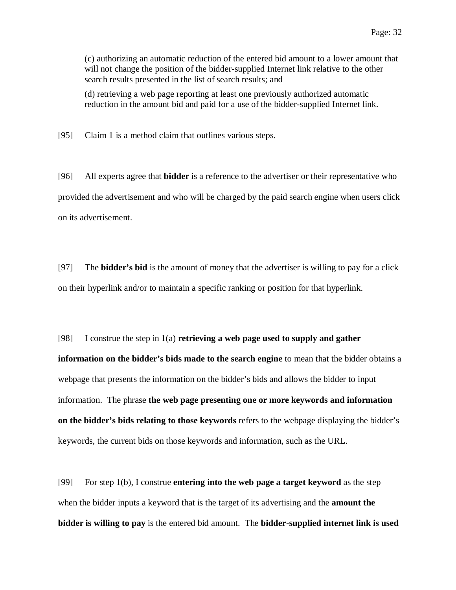(c) authorizing an automatic reduction of the entered bid amount to a lower amount that will not change the position of the bidder-supplied Internet link relative to the other search results presented in the list of search results; and

(d) retrieving a web page reporting at least one previously authorized automatic reduction in the amount bid and paid for a use of the bidder-supplied Internet link.

[95] Claim 1 is a method claim that outlines various steps.

[96] All experts agree that **bidder** is a reference to the advertiser or their representative who provided the advertisement and who will be charged by the paid search engine when users click on its advertisement.

[97] The **bidder's bid** is the amount of money that the advertiser is willing to pay for a click on their hyperlink and/or to maintain a specific ranking or position for that hyperlink.

[98] I construe the step in 1(a) **retrieving a web page used to supply and gather information on the bidder's bids made to the search engine** to mean that the bidder obtains a webpage that presents the information on the bidder's bids and allows the bidder to input information. The phrase **the web page presenting one or more keywords and information on the bidder's bids relating to those keywords** refers to the webpage displaying the bidder's keywords, the current bids on those keywords and information, such as the URL.

[99] For step 1(b), I construe **entering into the web page a target keyword** as the step when the bidder inputs a keyword that is the target of its advertising and the **amount the bidder is willing to pay** is the entered bid amount. The **bidder-supplied internet link is used**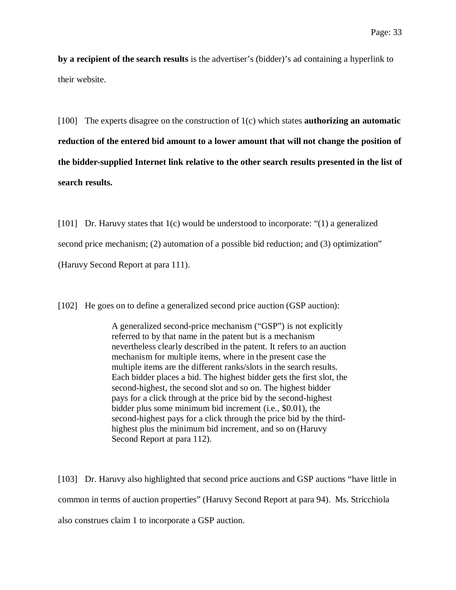**by a recipient of the search results** is the advertiser's (bidder)'s ad containing a hyperlink to their website.

[100] The experts disagree on the construction of 1(c) which states **authorizing an automatic reduction of the entered bid amount to a lower amount that will not change the position of the bidder-supplied Internet link relative to the other search results presented in the list of search results.**

[101] Dr. Haruvy states that 1(c) would be understood to incorporate: "(1) a generalized second price mechanism; (2) automation of a possible bid reduction; and (3) optimization" (Haruvy Second Report at para 111).

[102] He goes on to define a generalized second price auction (GSP auction):

A generalized second-price mechanism ("GSP") is not explicitly referred to by that name in the patent but is a mechanism nevertheless clearly described in the patent. It refers to an auction mechanism for multiple items, where in the present case the multiple items are the different ranks/slots in the search results. Each bidder places a bid. The highest bidder gets the first slot, the second-highest, the second slot and so on. The highest bidder pays for a click through at the price bid by the second-highest bidder plus some minimum bid increment (i.e., \$0.01), the second-highest pays for a click through the price bid by the thirdhighest plus the minimum bid increment, and so on (Haruvy Second Report at para 112).

[103] Dr. Haruvy also highlighted that second price auctions and GSP auctions "have little in common in terms of auction properties" (Haruvy Second Report at para 94). Ms. Stricchiola also construes claim 1 to incorporate a GSP auction.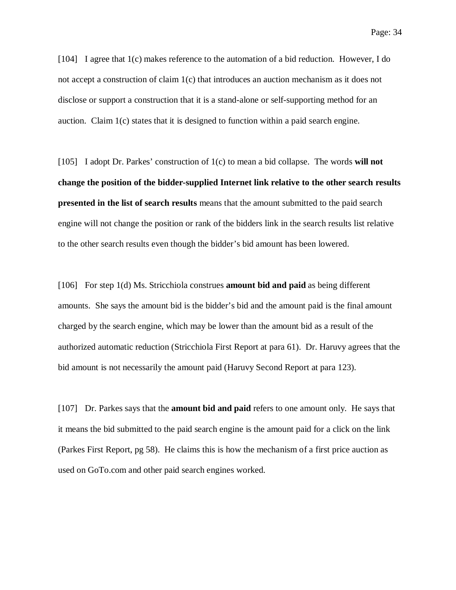[104] I agree that 1(c) makes reference to the automation of a bid reduction. However, I do not accept a construction of claim 1(c) that introduces an auction mechanism as it does not disclose or support a construction that it is a stand-alone or self-supporting method for an auction. Claim 1(c) states that it is designed to function within a paid search engine.

[105] I adopt Dr. Parkes' construction of 1(c) to mean a bid collapse. The words **will not change the position of the bidder-supplied Internet link relative to the other search results presented in the list of search results** means that the amount submitted to the paid search engine will not change the position or rank of the bidders link in the search results list relative to the other search results even though the bidder's bid amount has been lowered.

[106] For step 1(d) Ms. Stricchiola construes **amount bid and paid** as being different amounts. She says the amount bid is the bidder's bid and the amount paid is the final amount charged by the search engine, which may be lower than the amount bid as a result of the authorized automatic reduction (Stricchiola First Report at para 61). Dr. Haruvy agrees that the bid amount is not necessarily the amount paid (Haruvy Second Report at para 123).

[107] Dr. Parkes says that the **amount bid and paid** refers to one amount only. He says that it means the bid submitted to the paid search engine is the amount paid for a click on the link (Parkes First Report, pg 58). He claims this is how the mechanism of a first price auction as used on GoTo.com and other paid search engines worked.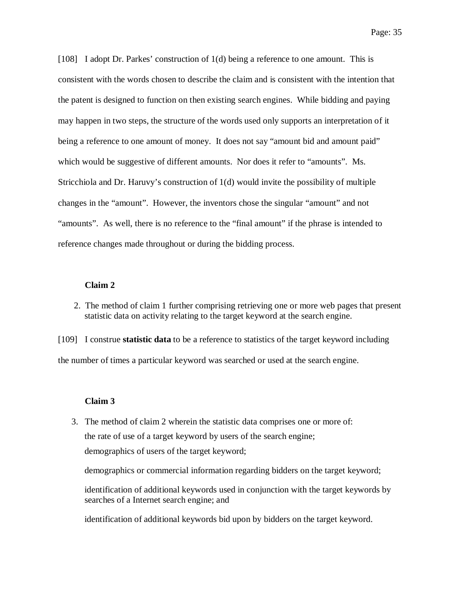[108] I adopt Dr. Parkes' construction of 1(d) being a reference to one amount. This is consistent with the words chosen to describe the claim and is consistent with the intention that the patent is designed to function on then existing search engines. While bidding and paying may happen in two steps, the structure of the words used only supports an interpretation of it being a reference to one amount of money. It does not say "amount bid and amount paid" which would be suggestive of different amounts. Nor does it refer to "amounts". Ms. Stricchiola and Dr. Haruvy's construction of 1(d) would invite the possibility of multiple changes in the "amount". However, the inventors chose the singular "amount" and not "amounts". As well, there is no reference to the "final amount" if the phrase is intended to reference changes made throughout or during the bidding process.

#### **Claim 2**

<span id="page-34-0"></span>2. The method of claim 1 further comprising retrieving one or more web pages that present statistic data on activity relating to the target keyword at the search engine.

[109] I construe **statistic data** to be a reference to statistics of the target keyword including the number of times a particular keyword was searched or used at the search engine.

#### **Claim 3**

<span id="page-34-1"></span>3. The method of claim 2 wherein the statistic data comprises one or more of: the rate of use of a target keyword by users of the search engine; demographics of users of the target keyword;

demographics or commercial information regarding bidders on the target keyword;

identification of additional keywords used in conjunction with the target keywords by searches of a Internet search engine; and

identification of additional keywords bid upon by bidders on the target keyword.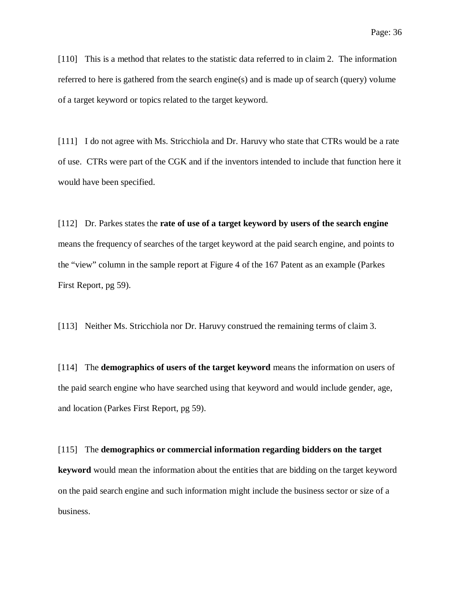[110] This is a method that relates to the statistic data referred to in claim 2. The information referred to here is gathered from the search engine(s) and is made up of search (query) volume of a target keyword or topics related to the target keyword.

[111] I do not agree with Ms. Stricchiola and Dr. Haruvy who state that CTRs would be a rate of use. CTRs were part of the CGK and if the inventors intended to include that function here it would have been specified.

[112] Dr. Parkes states the **rate of use of a target keyword by users of the search engine** means the frequency of searches of the target keyword at the paid search engine, and points to the "view" column in the sample report at Figure 4 of the 167 Patent as an example (Parkes First Report, pg 59).

[113] Neither Ms. Stricchiola nor Dr. Haruvy construed the remaining terms of claim 3.

[114] The **demographics of users of the target keyword** means the information on users of the paid search engine who have searched using that keyword and would include gender, age, and location (Parkes First Report, pg 59).

#### [115] The **demographics or commercial information regarding bidders on the target**

**keyword** would mean the information about the entities that are bidding on the target keyword on the paid search engine and such information might include the business sector or size of a business.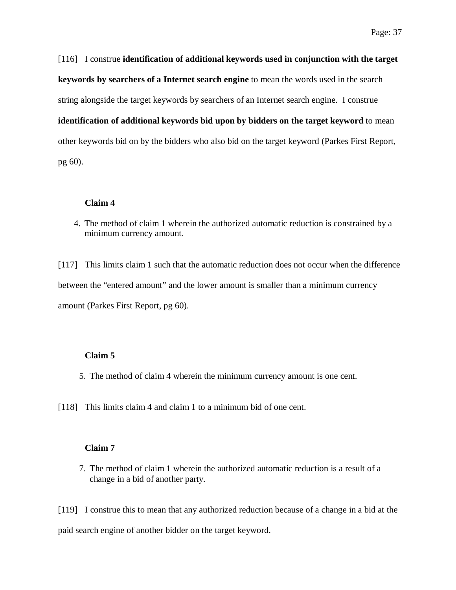[116] I construe **identification of additional keywords used in conjunction with the target keywords by searchers of a Internet search engine** to mean the words used in the search string alongside the target keywords by searchers of an Internet search engine. I construe **identification of additional keywords bid upon by bidders on the target keyword** to mean other keywords bid on by the bidders who also bid on the target keyword (Parkes First Report, pg 60).

### **Claim 4**

4. The method of claim 1 wherein the authorized automatic reduction is constrained by a minimum currency amount.

[117] This limits claim 1 such that the automatic reduction does not occur when the difference between the "entered amount" and the lower amount is smaller than a minimum currency amount (Parkes First Report, pg 60).

#### **Claim 5**

- 5. The method of claim 4 wherein the minimum currency amount is one cent.
- [118] This limits claim 4 and claim 1 to a minimum bid of one cent.

## **Claim 7**

7. The method of claim 1 wherein the authorized automatic reduction is a result of a change in a bid of another party.

[119] I construe this to mean that any authorized reduction because of a change in a bid at the paid search engine of another bidder on the target keyword.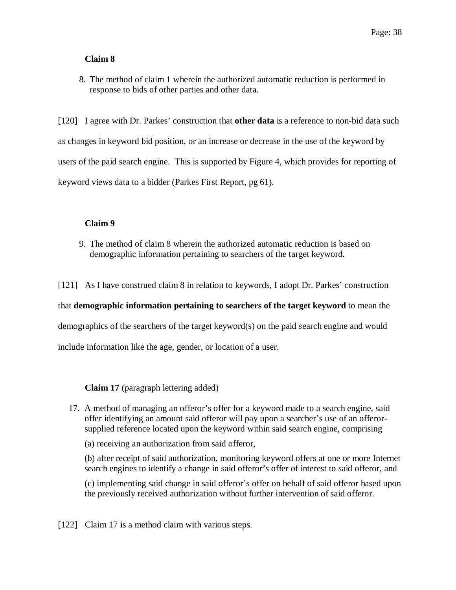## **Claim 8**

8. The method of claim 1 wherein the authorized automatic reduction is performed in response to bids of other parties and other data.

[120] I agree with Dr. Parkes' construction that **other data** is a reference to non-bid data such as changes in keyword bid position, or an increase or decrease in the use of the keyword by users of the paid search engine. This is supported by Figure 4, which provides for reporting of keyword views data to a bidder (Parkes First Report, pg 61).

## **Claim 9**

9. The method of claim 8 wherein the authorized automatic reduction is based on demographic information pertaining to searchers of the target keyword.

[121] As I have construed claim 8 in relation to keywords, I adopt Dr. Parkes' construction

that **demographic information pertaining to searchers of the target keyword** to mean the

demographics of the searchers of the target keyword(s) on the paid search engine and would

include information like the age, gender, or location of a user.

**Claim 17** (paragraph lettering added)

17. A method of managing an offeror's offer for a keyword made to a search engine, said offer identifying an amount said offeror will pay upon a searcher's use of an offerorsupplied reference located upon the keyword within said search engine, comprising

(a) receiving an authorization from said offeror,

(b) after receipt of said authorization, monitoring keyword offers at one or more Internet search engines to identify a change in said offeror's offer of interest to said offeror, and

(c) implementing said change in said offeror's offer on behalf of said offeror based upon the previously received authorization without further intervention of said offeror.

[122] Claim 17 is a method claim with various steps.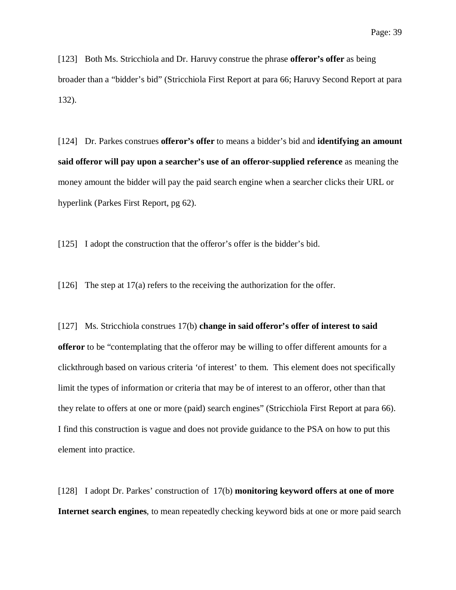[123] Both Ms. Stricchiola and Dr. Haruvy construe the phrase **offeror's offer** as being broader than a "bidder's bid" (Stricchiola First Report at para 66; Haruvy Second Report at para 132).

[124] Dr. Parkes construes **offeror's offer** to means a bidder's bid and **identifying an amount said offeror will pay upon a searcher's use of an offeror-supplied reference** as meaning the money amount the bidder will pay the paid search engine when a searcher clicks their URL or hyperlink (Parkes First Report, pg 62).

[125] I adopt the construction that the offeror's offer is the bidder's bid.

[126] The step at 17(a) refers to the receiving the authorization for the offer.

[127] Ms. Stricchiola construes 17(b) **change in said offeror's offer of interest to said offeror** to be "contemplating that the offeror may be willing to offer different amounts for a clickthrough based on various criteria 'of interest' to them. This element does not specifically limit the types of information or criteria that may be of interest to an offeror, other than that they relate to offers at one or more (paid) search engines" (Stricchiola First Report at para 66). I find this construction is vague and does not provide guidance to the PSA on how to put this element into practice.

[128] I adopt Dr. Parkes' construction of 17(b) **monitoring keyword offers at one of more Internet search engines**, to mean repeatedly checking keyword bids at one or more paid search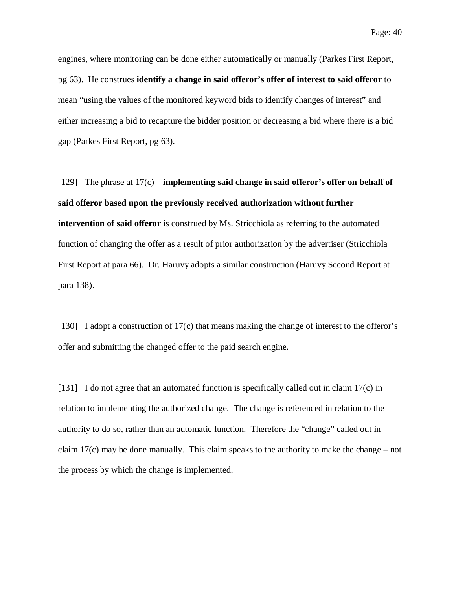engines, where monitoring can be done either automatically or manually (Parkes First Report, pg 63). He construes **identify a change in said offeror's offer of interest to said offeror** to mean "using the values of the monitored keyword bids to identify changes of interest" and either increasing a bid to recapture the bidder position or decreasing a bid where there is a bid gap (Parkes First Report, pg 63).

[129] The phrase at 17(c) – **implementing said change in said offeror's offer on behalf of said offeror based upon the previously received authorization without further intervention of said offeror** is construed by Ms. Stricchiola as referring to the automated function of changing the offer as a result of prior authorization by the advertiser (Stricchiola First Report at para 66). Dr. Haruvy adopts a similar construction (Haruvy Second Report at para 138).

[130] I adopt a construction of 17(c) that means making the change of interest to the offeror's offer and submitting the changed offer to the paid search engine.

[131] I do not agree that an automated function is specifically called out in claim 17(c) in relation to implementing the authorized change. The change is referenced in relation to the authority to do so, rather than an automatic function. Therefore the "change" called out in claim  $17(c)$  may be done manually. This claim speaks to the authority to make the change – not the process by which the change is implemented.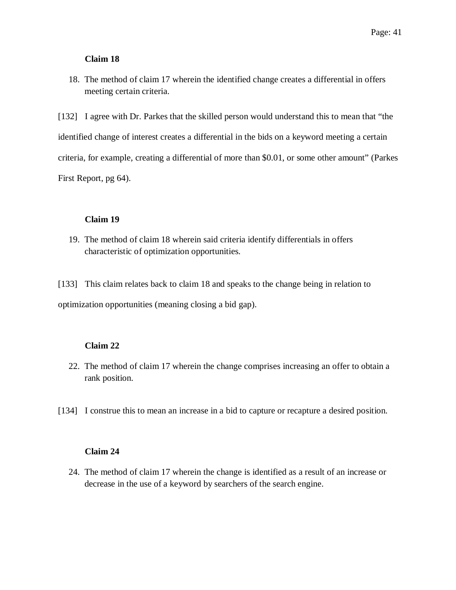### **Claim 18**

18. The method of claim 17 wherein the identified change creates a differential in offers meeting certain criteria.

[132] I agree with Dr. Parkes that the skilled person would understand this to mean that "the identified change of interest creates a differential in the bids on a keyword meeting a certain criteria, for example, creating a differential of more than \$0.01, or some other amount" (Parkes First Report, pg 64).

### **Claim 19**

19. The method of claim 18 wherein said criteria identify differentials in offers characteristic of optimization opportunities.

[133] This claim relates back to claim 18 and speaks to the change being in relation to optimization opportunities (meaning closing a bid gap).

## **Claim 22**

- 22. The method of claim 17 wherein the change comprises increasing an offer to obtain a rank position.
- [134] I construe this to mean an increase in a bid to capture or recapture a desired position.

### **Claim 24**

24. The method of claim 17 wherein the change is identified as a result of an increase or decrease in the use of a keyword by searchers of the search engine.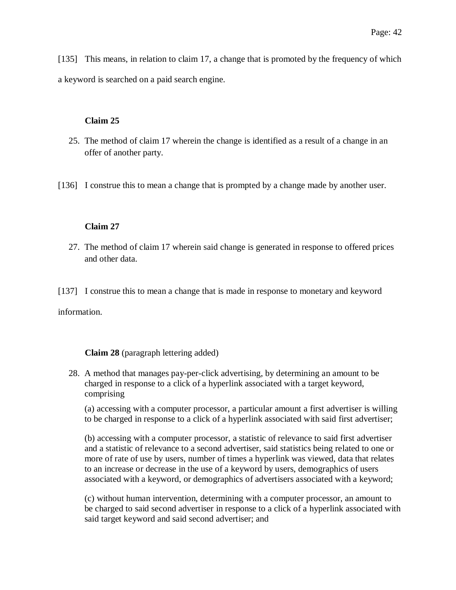[135] This means, in relation to claim 17, a change that is promoted by the frequency of which a keyword is searched on a paid search engine.

## **Claim 25**

- 25. The method of claim 17 wherein the change is identified as a result of a change in an offer of another party.
- [136] I construe this to mean a change that is prompted by a change made by another user.

## **Claim 27**

- 27. The method of claim 17 wherein said change is generated in response to offered prices and other data.
- [137] I construe this to mean a change that is made in response to monetary and keyword

information.

# **Claim 28** (paragraph lettering added)

28. A method that manages pay-per-click advertising, by determining an amount to be charged in response to a click of a hyperlink associated with a target keyword, comprising

(a) accessing with a computer processor, a particular amount a first advertiser is willing to be charged in response to a click of a hyperlink associated with said first advertiser;

(b) accessing with a computer processor, a statistic of relevance to said first advertiser and a statistic of relevance to a second advertiser, said statistics being related to one or more of rate of use by users, number of times a hyperlink was viewed, data that relates to an increase or decrease in the use of a keyword by users, demographics of users associated with a keyword, or demographics of advertisers associated with a keyword;

(c) without human intervention, determining with a computer processor, an amount to be charged to said second advertiser in response to a click of a hyperlink associated with said target keyword and said second advertiser; and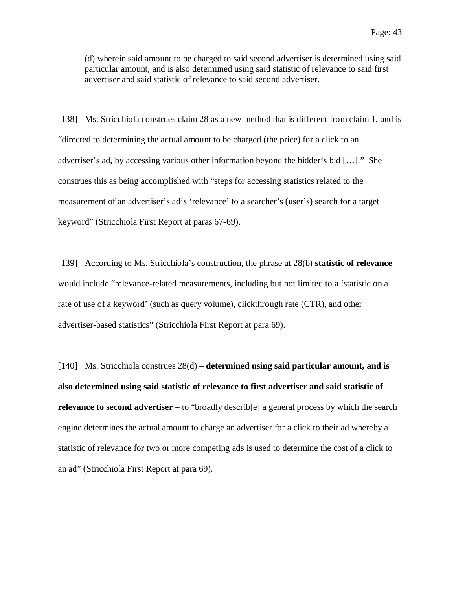(d) wherein said amount to be charged to said second advertiser is determined using said particular amount, and is also determined using said statistic of relevance to said first advertiser and said statistic of relevance to said second advertiser.

[138] Ms. Stricchiola construes claim 28 as a new method that is different from claim 1, and is "directed to determining the actual amount to be charged (the price) for a click to an advertiser's ad, by accessing various other information beyond the bidder's bid […]." She construes this as being accomplished with "steps for accessing statistics related to the measurement of an advertiser's ad's 'relevance' to a searcher's (user's) search for a target keyword" (Stricchiola First Report at paras 67-69).

[139] According to Ms. Stricchiola's construction, the phrase at 28(b) **statistic of relevance** would include "relevance-related measurements, including but not limited to a 'statistic on a rate of use of a keyword' (such as query volume), clickthrough rate (CTR), and other advertiser-based statistics" (Stricchiola First Report at para 69).

[140] Ms. Stricchiola construes 28(d) – **determined using said particular amount, and is also determined using said statistic of relevance to first advertiser and said statistic of relevance to second advertiser** – to "broadly describ[e] a general process by which the search engine determines the actual amount to charge an advertiser for a click to their ad whereby a statistic of relevance for two or more competing ads is used to determine the cost of a click to an ad" (Stricchiola First Report at para 69).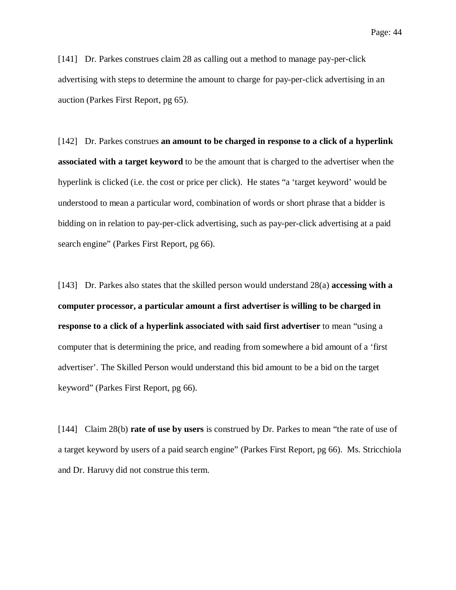[141] Dr. Parkes construes claim 28 as calling out a method to manage pay-per-click advertising with steps to determine the amount to charge for pay-per-click advertising in an auction (Parkes First Report, pg 65).

[142] Dr. Parkes construes **an amount to be charged in response to a click of a hyperlink associated with a target keyword** to be the amount that is charged to the advertiser when the hyperlink is clicked (i.e. the cost or price per click). He states "a 'target keyword' would be understood to mean a particular word, combination of words or short phrase that a bidder is bidding on in relation to pay-per-click advertising, such as pay-per-click advertising at a paid search engine" (Parkes First Report, pg 66).

[143] Dr. Parkes also states that the skilled person would understand 28(a) **accessing with a computer processor, a particular amount a first advertiser is willing to be charged in response to a click of a hyperlink associated with said first advertiser** to mean "using a computer that is determining the price, and reading from somewhere a bid amount of a 'first advertiser'. The Skilled Person would understand this bid amount to be a bid on the target keyword" (Parkes First Report, pg 66).

[144] Claim 28(b) **rate of use by users** is construed by Dr. Parkes to mean "the rate of use of a target keyword by users of a paid search engine" (Parkes First Report, pg 66). Ms. Stricchiola and Dr. Haruvy did not construe this term.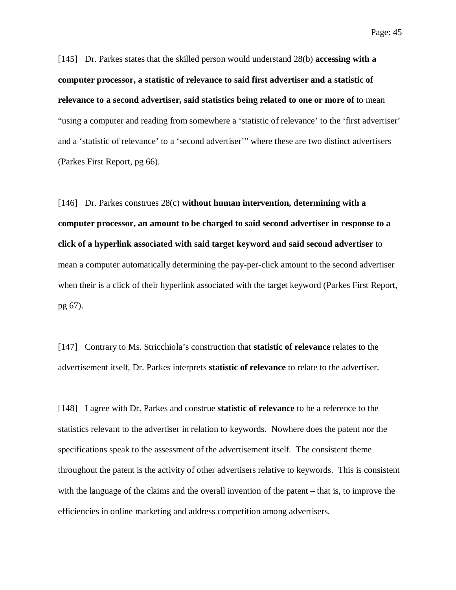[145] Dr. Parkes states that the skilled person would understand 28(b) **accessing with a computer processor, a statistic of relevance to said first advertiser and a statistic of relevance to a second advertiser, said statistics being related to one or more of** to mean "using a computer and reading from somewhere a 'statistic of relevance' to the 'first advertiser' and a 'statistic of relevance' to a 'second advertiser'" where these are two distinct advertisers (Parkes First Report, pg 66).

[146] Dr. Parkes construes 28(c) **without human intervention, determining with a computer processor, an amount to be charged to said second advertiser in response to a click of a hyperlink associated with said target keyword and said second advertiser** to mean a computer automatically determining the pay-per-click amount to the second advertiser when their is a click of their hyperlink associated with the target keyword (Parkes First Report, pg 67).

[147] Contrary to Ms. Stricchiola's construction that **statistic of relevance** relates to the advertisement itself, Dr. Parkes interprets **statistic of relevance** to relate to the advertiser.

[148] I agree with Dr. Parkes and construe **statistic of relevance** to be a reference to the statistics relevant to the advertiser in relation to keywords. Nowhere does the patent nor the specifications speak to the assessment of the advertisement itself. The consistent theme throughout the patent is the activity of other advertisers relative to keywords. This is consistent with the language of the claims and the overall invention of the patent – that is, to improve the efficiencies in online marketing and address competition among advertisers.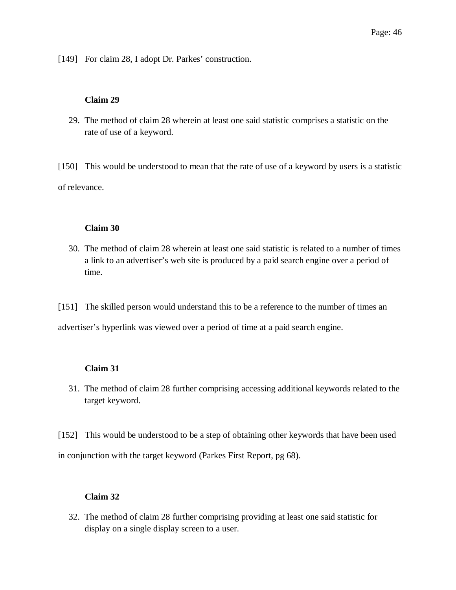[149] For claim 28, I adopt Dr. Parkes' construction.

### **Claim 29**

29. The method of claim 28 wherein at least one said statistic comprises a statistic on the rate of use of a keyword.

[150] This would be understood to mean that the rate of use of a keyword by users is a statistic of relevance.

### **Claim 30**

30. The method of claim 28 wherein at least one said statistic is related to a number of times a link to an advertiser's web site is produced by a paid search engine over a period of time.

[151] The skilled person would understand this to be a reference to the number of times an advertiser's hyperlink was viewed over a period of time at a paid search engine.

## **Claim 31**

- 31. The method of claim 28 further comprising accessing additional keywords related to the target keyword.
- [152] This would be understood to be a step of obtaining other keywords that have been used

in conjunction with the target keyword (Parkes First Report, pg 68).

## **Claim 32**

32. The method of claim 28 further comprising providing at least one said statistic for display on a single display screen to a user.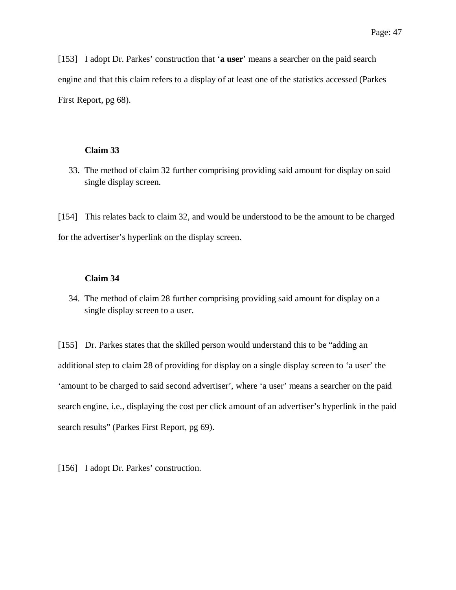[153] I adopt Dr. Parkes' construction that '**a user**' means a searcher on the paid search engine and that this claim refers to a display of at least one of the statistics accessed (Parkes First Report, pg 68).

### **Claim 33**

33. The method of claim 32 further comprising providing said amount for display on said single display screen.

[154] This relates back to claim 32, and would be understood to be the amount to be charged for the advertiser's hyperlink on the display screen.

### **Claim 34**

34. The method of claim 28 further comprising providing said amount for display on a single display screen to a user.

[155] Dr. Parkes states that the skilled person would understand this to be "adding an additional step to claim 28 of providing for display on a single display screen to 'a user' the 'amount to be charged to said second advertiser', where 'a user' means a searcher on the paid search engine, i.e., displaying the cost per click amount of an advertiser's hyperlink in the paid search results" (Parkes First Report, pg 69).

[156] I adopt Dr. Parkes' construction.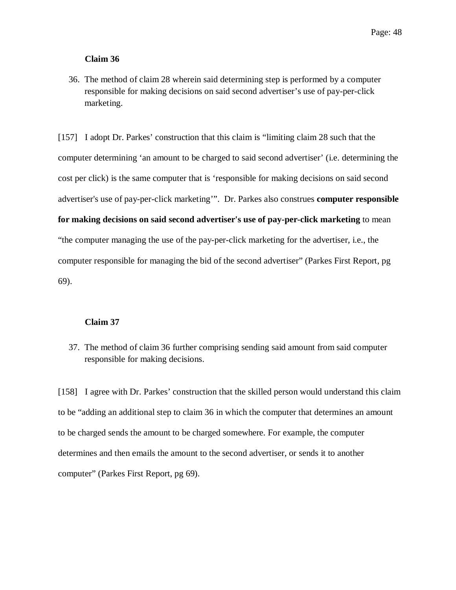### **Claim 36**

36. The method of claim 28 wherein said determining step is performed by a computer responsible for making decisions on said second advertiser's use of pay-per-click marketing.

[157] I adopt Dr. Parkes' construction that this claim is "limiting claim 28 such that the computer determining 'an amount to be charged to said second advertiser' (i.e. determining the cost per click) is the same computer that is 'responsible for making decisions on said second advertiser's use of pay-per-click marketing'". Dr. Parkes also construes **computer responsible for making decisions on said second advertiser's use of pay-per-click marketing** to mean "the computer managing the use of the pay-per-click marketing for the advertiser, i.e., the computer responsible for managing the bid of the second advertiser" (Parkes First Report, pg 69).

### **Claim 37**

37. The method of claim 36 further comprising sending said amount from said computer responsible for making decisions.

[158] I agree with Dr. Parkes' construction that the skilled person would understand this claim to be "adding an additional step to claim 36 in which the computer that determines an amount to be charged sends the amount to be charged somewhere. For example, the computer determines and then emails the amount to the second advertiser, or sends it to another computer" (Parkes First Report, pg 69).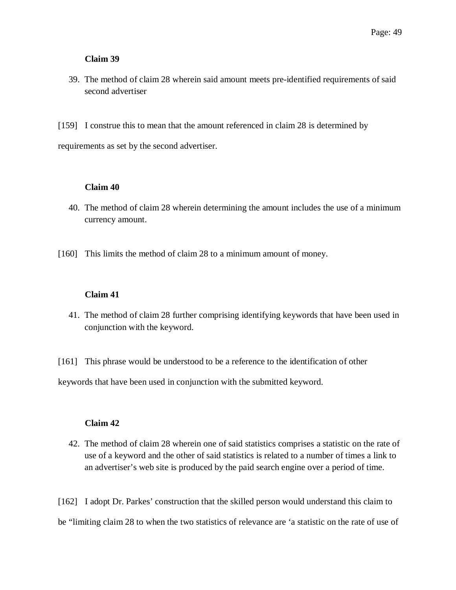### **Claim 39**

- 39. The method of claim 28 wherein said amount meets pre-identified requirements of said second advertiser
- [159] I construe this to mean that the amount referenced in claim 28 is determined by

requirements as set by the second advertiser.

## **Claim 40**

- 40. The method of claim 28 wherein determining the amount includes the use of a minimum currency amount.
- [160] This limits the method of claim 28 to a minimum amount of money.

## **Claim 41**

41. The method of claim 28 further comprising identifying keywords that have been used in conjunction with the keyword.

[161] This phrase would be understood to be a reference to the identification of other

keywords that have been used in conjunction with the submitted keyword.

## **Claim 42**

42. The method of claim 28 wherein one of said statistics comprises a statistic on the rate of use of a keyword and the other of said statistics is related to a number of times a link to an advertiser's web site is produced by the paid search engine over a period of time.

[162] I adopt Dr. Parkes' construction that the skilled person would understand this claim to be "limiting claim 28 to when the two statistics of relevance are 'a statistic on the rate of use of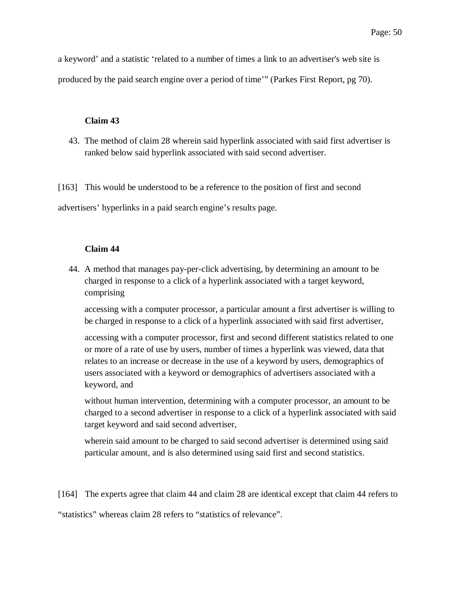a keyword' and a statistic 'related to a number of times a link to an advertiser's web site is produced by the paid search engine over a period of time'" (Parkes First Report, pg 70).

### **Claim 43**

43. The method of claim 28 wherein said hyperlink associated with said first advertiser is ranked below said hyperlink associated with said second advertiser.

[163] This would be understood to be a reference to the position of first and second

advertisers' hyperlinks in a paid search engine's results page.

### **Claim 44**

44. A method that manages pay-per-click advertising, by determining an amount to be charged in response to a click of a hyperlink associated with a target keyword, comprising

accessing with a computer processor, a particular amount a first advertiser is willing to be charged in response to a click of a hyperlink associated with said first advertiser,

accessing with a computer processor, first and second different statistics related to one or more of a rate of use by users, number of times a hyperlink was viewed, data that relates to an increase or decrease in the use of a keyword by users, demographics of users associated with a keyword or demographics of advertisers associated with a keyword, and

without human intervention, determining with a computer processor, an amount to be charged to a second advertiser in response to a click of a hyperlink associated with said target keyword and said second advertiser,

wherein said amount to be charged to said second advertiser is determined using said particular amount, and is also determined using said first and second statistics.

[164] The experts agree that claim 44 and claim 28 are identical except that claim 44 refers to "statistics" whereas claim 28 refers to "statistics of relevance".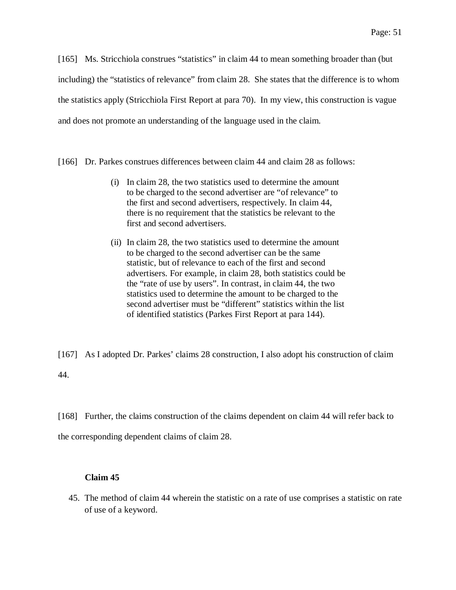[165] Ms. Stricchiola construes "statistics" in claim 44 to mean something broader than (but including) the "statistics of relevance" from claim 28. She states that the difference is to whom the statistics apply (Stricchiola First Report at para 70). In my view, this construction is vague and does not promote an understanding of the language used in the claim.

[166] Dr. Parkes construes differences between claim 44 and claim 28 as follows:

- (i) In claim 28, the two statistics used to determine the amount to be charged to the second advertiser are "of relevance" to the first and second advertisers, respectively. In claim 44, there is no requirement that the statistics be relevant to the first and second advertisers.
- (ii) In claim 28, the two statistics used to determine the amount to be charged to the second advertiser can be the same statistic, but of relevance to each of the first and second advertisers. For example, in claim 28, both statistics could be the "rate of use by users". In contrast, in claim 44, the two statistics used to determine the amount to be charged to the second advertiser must be "different" statistics within the list of identified statistics (Parkes First Report at para 144).

[167] As I adopted Dr. Parkes' claims 28 construction, I also adopt his construction of claim 44.

[168] Further, the claims construction of the claims dependent on claim 44 will refer back to the corresponding dependent claims of claim 28.

# **Claim 45**

45. The method of claim 44 wherein the statistic on a rate of use comprises a statistic on rate of use of a keyword.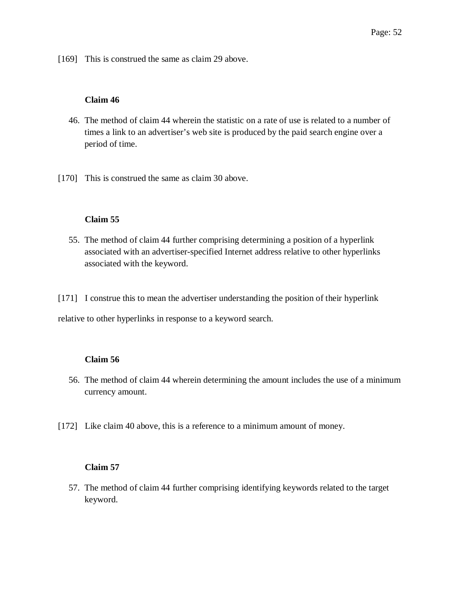[169] This is construed the same as claim 29 above.

## **Claim 46**

- 46. The method of claim 44 wherein the statistic on a rate of use is related to a number of times a link to an advertiser's web site is produced by the paid search engine over a period of time.
- [170] This is construed the same as claim 30 above.

## **Claim 55**

55. The method of claim 44 further comprising determining a position of a hyperlink associated with an advertiser-specified Internet address relative to other hyperlinks associated with the keyword.

[171] I construe this to mean the advertiser understanding the position of their hyperlink

relative to other hyperlinks in response to a keyword search.

## **Claim 56**

- 56. The method of claim 44 wherein determining the amount includes the use of a minimum currency amount.
- [172] Like claim 40 above, this is a reference to a minimum amount of money.

# **Claim 57**

57. The method of claim 44 further comprising identifying keywords related to the target keyword.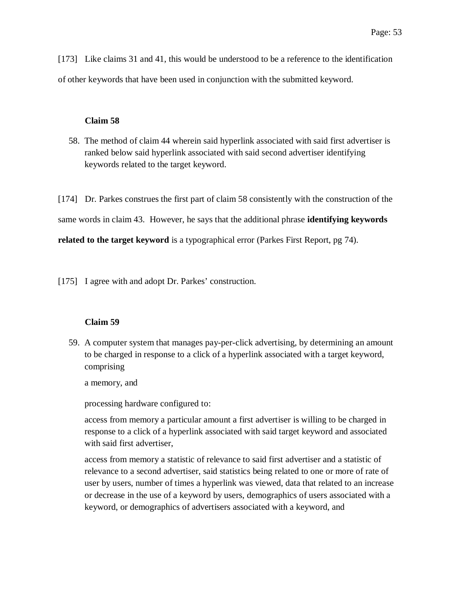[173] Like claims 31 and 41, this would be understood to be a reference to the identification of other keywords that have been used in conjunction with the submitted keyword.

#### **Claim 58**

58. The method of claim 44 wherein said hyperlink associated with said first advertiser is ranked below said hyperlink associated with said second advertiser identifying keywords related to the target keyword.

[174] Dr. Parkes construes the first part of claim 58 consistently with the construction of the same words in claim 43. However, he says that the additional phrase **identifying keywords related to the target keyword** is a typographical error (Parkes First Report, pg 74).

[175] I agree with and adopt Dr. Parkes' construction.

#### **Claim 59**

59. A computer system that manages pay-per-click advertising, by determining an amount to be charged in response to a click of a hyperlink associated with a target keyword, comprising

a memory, and

processing hardware configured to:

access from memory a particular amount a first advertiser is willing to be charged in response to a click of a hyperlink associated with said target keyword and associated with said first advertiser,

access from memory a statistic of relevance to said first advertiser and a statistic of relevance to a second advertiser, said statistics being related to one or more of rate of user by users, number of times a hyperlink was viewed, data that related to an increase or decrease in the use of a keyword by users, demographics of users associated with a keyword, or demographics of advertisers associated with a keyword, and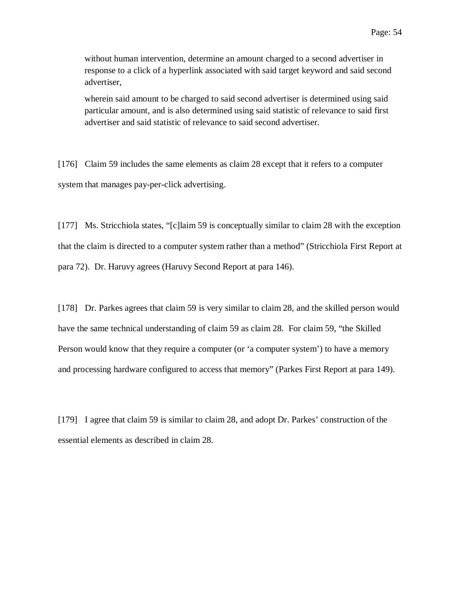without human intervention, determine an amount charged to a second advertiser in response to a click of a hyperlink associated with said target keyword and said second advertiser,

wherein said amount to be charged to said second advertiser is determined using said particular amount, and is also determined using said statistic of relevance to said first advertiser and said statistic of relevance to said second advertiser.

[176] Claim 59 includes the same elements as claim 28 except that it refers to a computer system that manages pay-per-click advertising.

[177] Ms. Stricchiola states, "[c]laim 59 is conceptually similar to claim 28 with the exception that the claim is directed to a computer system rather than a method" (Stricchiola First Report at para 72). Dr. Haruvy agrees (Haruvy Second Report at para 146).

[178] Dr. Parkes agrees that claim 59 is very similar to claim 28, and the skilled person would have the same technical understanding of claim 59 as claim 28. For claim 59, "the Skilled Person would know that they require a computer (or 'a computer system') to have a memory and processing hardware configured to access that memory" (Parkes First Report at para 149).

[179] I agree that claim 59 is similar to claim 28, and adopt Dr. Parkes' construction of the essential elements as described in claim 28.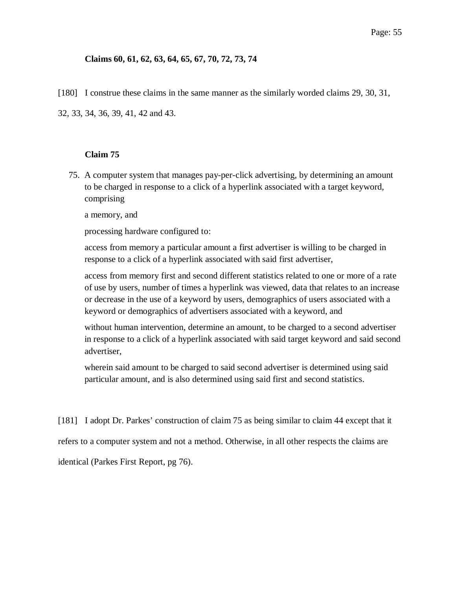## **Claims 60, 61, 62, 63, 64, 65, 67, 70, 72, 73, 74**

[180] I construe these claims in the same manner as the similarly worded claims 29, 30, 31,

32, 33, 34, 36, 39, 41, 42 and 43.

## **Claim 75**

75. A computer system that manages pay-per-click advertising, by determining an amount to be charged in response to a click of a hyperlink associated with a target keyword, comprising

a memory, and

processing hardware configured to:

access from memory a particular amount a first advertiser is willing to be charged in response to a click of a hyperlink associated with said first advertiser,

access from memory first and second different statistics related to one or more of a rate of use by users, number of times a hyperlink was viewed, data that relates to an increase or decrease in the use of a keyword by users, demographics of users associated with a keyword or demographics of advertisers associated with a keyword, and

without human intervention, determine an amount, to be charged to a second advertiser in response to a click of a hyperlink associated with said target keyword and said second advertiser,

wherein said amount to be charged to said second advertiser is determined using said particular amount, and is also determined using said first and second statistics.

[181] I adopt Dr. Parkes' construction of claim 75 as being similar to claim 44 except that it

refers to a computer system and not a method. Otherwise, in all other respects the claims are

identical (Parkes First Report, pg 76).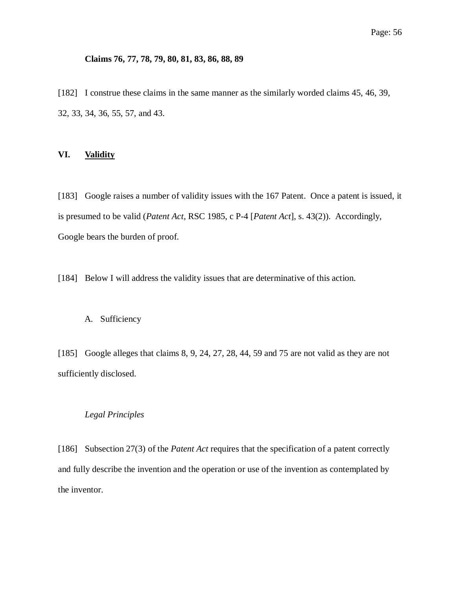### **Claims 76, 77, 78, 79, 80, 81, 83, 86, 88, 89**

[182] I construe these claims in the same manner as the similarly worded claims 45, 46, 39, 32, 33, 34, 36, 55, 57, and 43.

### **VI. Validity**

[183] Google raises a number of validity issues with the 167 Patent. Once a patent is issued, it is presumed to be valid (*Patent Act*, RSC 1985, c P-4 [*Patent Act*], s. 43(2)). Accordingly, Google bears the burden of proof.

[184] Below I will address the validity issues that are determinative of this action.

### A. Sufficiency

[185] Google alleges that claims 8, 9, 24, 27, 28, 44, 59 and 75 are not valid as they are not sufficiently disclosed.

## *Legal Principles*

[186] Subsection 27(3) of the *Patent Act* requires that the specification of a patent correctly and fully describe the invention and the operation or use of the invention as contemplated by the inventor.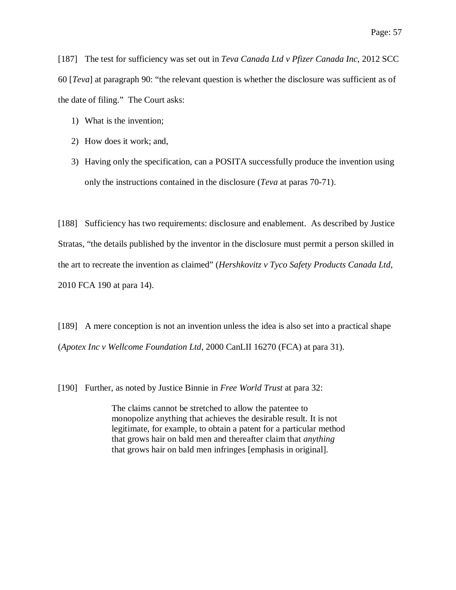[187] The test for sufficiency was set out in *Teva Canada Ltd v Pfizer Canada Inc*, 2012 SCC 60 [*Teva*] at paragraph 90: "the relevant question is whether the disclosure was sufficient as of the date of filing." The Court asks:

- 1) What is the invention;
- 2) How does it work; and,
- 3) Having only the specification, can a POSITA successfully produce the invention using only the instructions contained in the disclosure (*Teva* at paras 70-71).

[188] Sufficiency has two requirements: disclosure and enablement. As described by Justice Stratas, "the details published by the inventor in the disclosure must permit a person skilled in the art to recreate the invention as claimed" (*Hershkovitz v Tyco Safety Products Canada Ltd*, 2010 FCA 190 at para 14).

[189] A mere conception is not an invention unless the idea is also set into a practical shape (*Apotex Inc v Wellcome Foundation Ltd*, 2000 CanLII 16270 (FCA) at para 31).

[190] Further, as noted by Justice Binnie in *Free World Trust* at para 32:

The claims cannot be stretched to allow the patentee to monopolize anything that achieves the desirable result. It is not legitimate, for example, to obtain a patent for a particular method that grows hair on bald men and thereafter claim that *anything* that grows hair on bald men infringes [emphasis in original].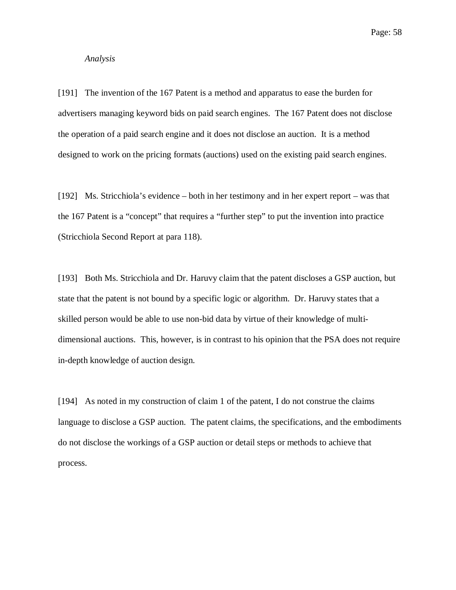### *Analysis*

[191] The invention of the 167 Patent is a method and apparatus to ease the burden for advertisers managing keyword bids on paid search engines. The 167 Patent does not disclose the operation of a paid search engine and it does not disclose an auction. It is a method designed to work on the pricing formats (auctions) used on the existing paid search engines.

[192] Ms. Stricchiola's evidence – both in her testimony and in her expert report – was that the 167 Patent is a "concept" that requires a "further step" to put the invention into practice (Stricchiola Second Report at para 118).

[193] Both Ms. Stricchiola and Dr. Haruvy claim that the patent discloses a GSP auction, but state that the patent is not bound by a specific logic or algorithm. Dr. Haruvy states that a skilled person would be able to use non-bid data by virtue of their knowledge of multidimensional auctions. This, however, is in contrast to his opinion that the PSA does not require in-depth knowledge of auction design.

[194] As noted in my construction of claim 1 of the patent, I do not construe the claims language to disclose a GSP auction. The patent claims, the specifications, and the embodiments do not disclose the workings of a GSP auction or detail steps or methods to achieve that process.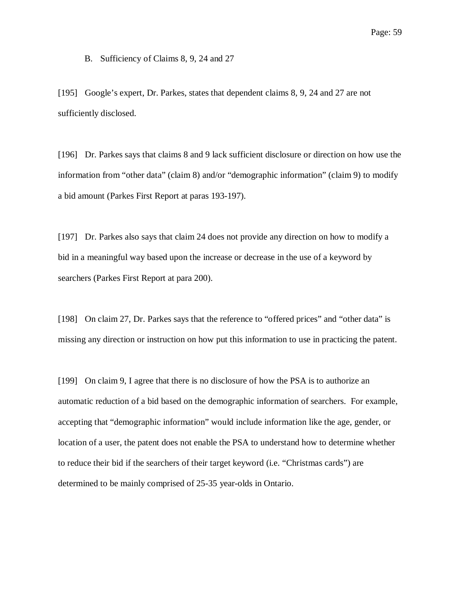#### B. Sufficiency of Claims 8, 9, 24 and 27

[195] Google's expert, Dr. Parkes, states that dependent claims 8, 9, 24 and 27 are not sufficiently disclosed.

[196] Dr. Parkes says that claims 8 and 9 lack sufficient disclosure or direction on how use the information from "other data" (claim 8) and/or "demographic information" (claim 9) to modify a bid amount (Parkes First Report at paras 193-197).

[197] Dr. Parkes also says that claim 24 does not provide any direction on how to modify a bid in a meaningful way based upon the increase or decrease in the use of a keyword by searchers (Parkes First Report at para 200).

[198] On claim 27, Dr. Parkes says that the reference to "offered prices" and "other data" is missing any direction or instruction on how put this information to use in practicing the patent.

[199] On claim 9, I agree that there is no disclosure of how the PSA is to authorize an automatic reduction of a bid based on the demographic information of searchers. For example, accepting that "demographic information" would include information like the age, gender, or location of a user, the patent does not enable the PSA to understand how to determine whether to reduce their bid if the searchers of their target keyword (i.e. "Christmas cards") are determined to be mainly comprised of 25-35 year-olds in Ontario.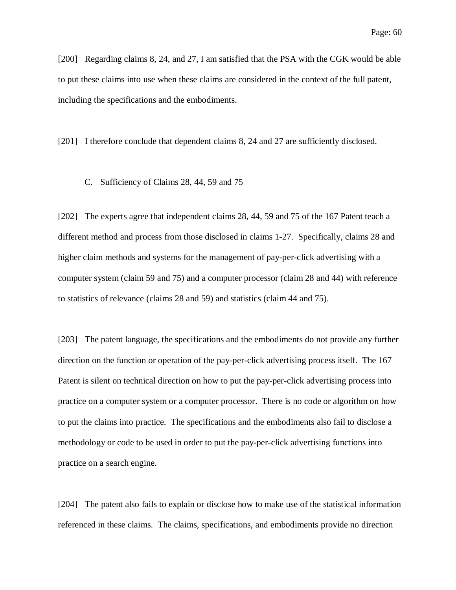[200] Regarding claims 8, 24, and 27, I am satisfied that the PSA with the CGK would be able to put these claims into use when these claims are considered in the context of the full patent, including the specifications and the embodiments.

[201] I therefore conclude that dependent claims 8, 24 and 27 are sufficiently disclosed.

C. Sufficiency of Claims 28, 44, 59 and 75

[202] The experts agree that independent claims 28, 44, 59 and 75 of the 167 Patent teach a different method and process from those disclosed in claims 1-27. Specifically, claims 28 and higher claim methods and systems for the management of pay-per-click advertising with a computer system (claim 59 and 75) and a computer processor (claim 28 and 44) with reference to statistics of relevance (claims 28 and 59) and statistics (claim 44 and 75).

[203] The patent language, the specifications and the embodiments do not provide any further direction on the function or operation of the pay-per-click advertising process itself. The 167 Patent is silent on technical direction on how to put the pay-per-click advertising process into practice on a computer system or a computer processor. There is no code or algorithm on how to put the claims into practice. The specifications and the embodiments also fail to disclose a methodology or code to be used in order to put the pay-per-click advertising functions into practice on a search engine.

[204] The patent also fails to explain or disclose how to make use of the statistical information referenced in these claims. The claims, specifications, and embodiments provide no direction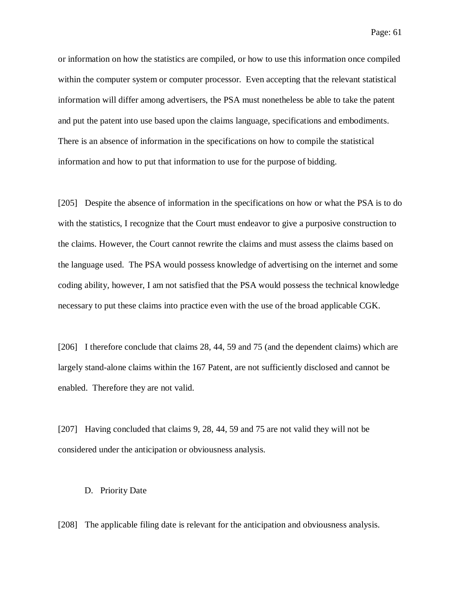Page: 61

or information on how the statistics are compiled, or how to use this information once compiled within the computer system or computer processor. Even accepting that the relevant statistical information will differ among advertisers, the PSA must nonetheless be able to take the patent and put the patent into use based upon the claims language, specifications and embodiments. There is an absence of information in the specifications on how to compile the statistical information and how to put that information to use for the purpose of bidding.

[205] Despite the absence of information in the specifications on how or what the PSA is to do with the statistics, I recognize that the Court must endeavor to give a purposive construction to the claims. However, the Court cannot rewrite the claims and must assess the claims based on the language used. The PSA would possess knowledge of advertising on the internet and some coding ability, however, I am not satisfied that the PSA would possess the technical knowledge necessary to put these claims into practice even with the use of the broad applicable CGK.

[206] I therefore conclude that claims 28, 44, 59 and 75 (and the dependent claims) which are largely stand-alone claims within the 167 Patent, are not sufficiently disclosed and cannot be enabled. Therefore they are not valid.

[207] Having concluded that claims 9, 28, 44, 59 and 75 are not valid they will not be considered under the anticipation or obviousness analysis.

#### D. Priority Date

[208] The applicable filing date is relevant for the anticipation and obviousness analysis.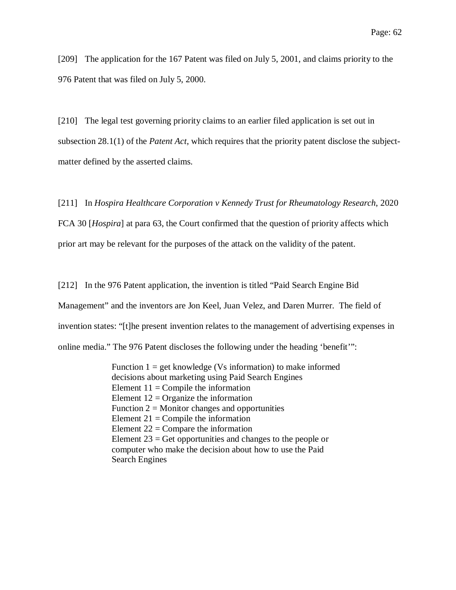[209] The application for the 167 Patent was filed on July 5, 2001, and claims priority to the 976 Patent that was filed on July 5, 2000.

[210] The legal test governing priority claims to an earlier filed application is set out in subsection 28.1(1) of the *Patent Act*, which requires that the priority patent disclose the subjectmatter defined by the asserted claims.

[211] In *Hospira Healthcare Corporation v Kennedy Trust for Rheumatology Research*, 2020 FCA 30 [*Hospira*] at para 63, the Court confirmed that the question of priority affects which prior art may be relevant for the purposes of the attack on the validity of the patent.

[212] In the 976 Patent application, the invention is titled "Paid Search Engine Bid Management" and the inventors are Jon Keel, Juan Velez, and Daren Murrer. The field of invention states: "[t]he present invention relates to the management of advertising expenses in online media." The 976 Patent discloses the following under the heading 'benefit'":

> Function  $1 = get$  knowledge (Vs information) to make informed decisions about marketing using Paid Search Engines Element  $11 =$  Compile the information Element  $12 =$ Organize the information Function  $2 =$  Monitor changes and opportunities Element  $21 =$ Compile the information Element  $22 =$  Compare the information Element  $23 =$  Get opportunities and changes to the people or computer who make the decision about how to use the Paid Search Engines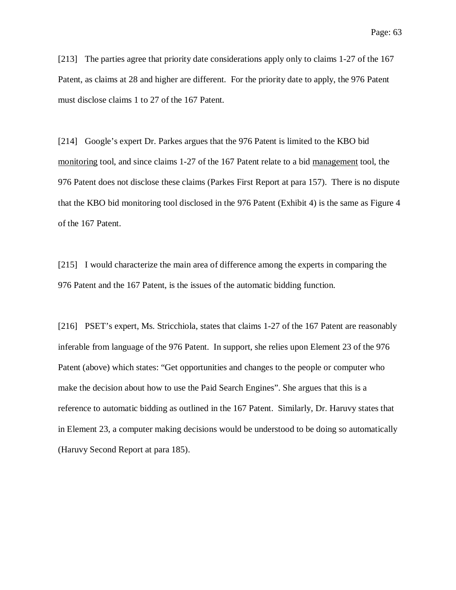[213] The parties agree that priority date considerations apply only to claims 1-27 of the 167 Patent, as claims at 28 and higher are different. For the priority date to apply, the 976 Patent must disclose claims 1 to 27 of the 167 Patent.

[214] Google's expert Dr. Parkes argues that the 976 Patent is limited to the KBO bid monitoring tool, and since claims 1-27 of the 167 Patent relate to a bid management tool, the 976 Patent does not disclose these claims (Parkes First Report at para 157). There is no dispute that the KBO bid monitoring tool disclosed in the 976 Patent (Exhibit 4) is the same as Figure 4 of the 167 Patent.

[215] I would characterize the main area of difference among the experts in comparing the 976 Patent and the 167 Patent, is the issues of the automatic bidding function.

[216] PSET's expert, Ms. Stricchiola, states that claims 1-27 of the 167 Patent are reasonably inferable from language of the 976 Patent. In support, she relies upon Element 23 of the 976 Patent (above) which states: "Get opportunities and changes to the people or computer who make the decision about how to use the Paid Search Engines". She argues that this is a reference to automatic bidding as outlined in the 167 Patent. Similarly, Dr. Haruvy states that in Element 23, a computer making decisions would be understood to be doing so automatically (Haruvy Second Report at para 185).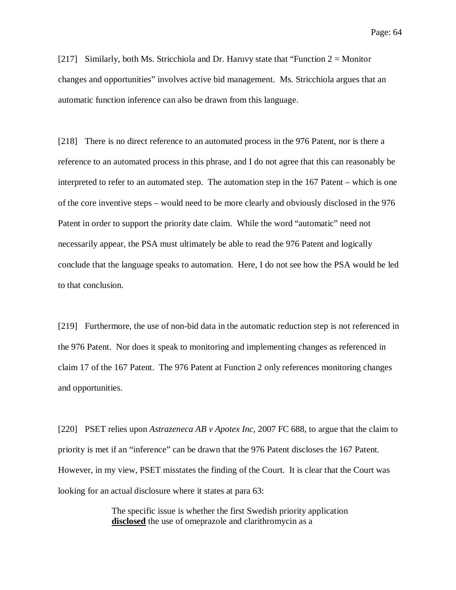Page: 64

[217] Similarly, both Ms. Stricchiola and Dr. Haruvy state that "Function  $2 =$  Monitor" changes and opportunities" involves active bid management. Ms. Stricchiola argues that an automatic function inference can also be drawn from this language.

[218] There is no direct reference to an automated process in the 976 Patent, nor is there a reference to an automated process in this phrase, and I do not agree that this can reasonably be interpreted to refer to an automated step. The automation step in the 167 Patent – which is one of the core inventive steps – would need to be more clearly and obviously disclosed in the 976 Patent in order to support the priority date claim. While the word "automatic" need not necessarily appear, the PSA must ultimately be able to read the 976 Patent and logically conclude that the language speaks to automation. Here, I do not see how the PSA would be led to that conclusion.

[219] Furthermore, the use of non-bid data in the automatic reduction step is not referenced in the 976 Patent. Nor does it speak to monitoring and implementing changes as referenced in claim 17 of the 167 Patent. The 976 Patent at Function 2 only references monitoring changes and opportunities.

[220] PSET relies upon *Astrazeneca AB v Apotex Inc,* 2007 FC 688, to argue that the claim to priority is met if an "inference" can be drawn that the 976 Patent discloses the 167 Patent. However, in my view, PSET misstates the finding of the Court. It is clear that the Court was looking for an actual disclosure where it states at para 63:

> The specific issue is whether the first Swedish priority application **disclosed** the use of omeprazole and clarithromycin as a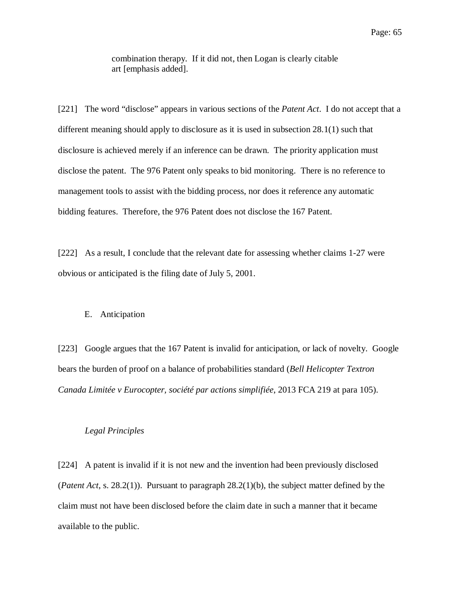combination therapy. If it did not, then Logan is clearly citable art [emphasis added].

[221] The word "disclose" appears in various sections of the *Patent Act*. I do not accept that a different meaning should apply to disclosure as it is used in subsection 28.1(1) such that disclosure is achieved merely if an inference can be drawn. The priority application must disclose the patent. The 976 Patent only speaks to bid monitoring. There is no reference to management tools to assist with the bidding process, nor does it reference any automatic bidding features. Therefore, the 976 Patent does not disclose the 167 Patent.

[222] As a result, I conclude that the relevant date for assessing whether claims 1-27 were obvious or anticipated is the filing date of July 5, 2001.

#### E. Anticipation

[223] Google argues that the 167 Patent is invalid for anticipation, or lack of novelty. Google bears the burden of proof on a balance of probabilities standard (*Bell Helicopter Textron Canada Limitée v Eurocopter, société par actions simplifiée*, 2013 FCA 219 at para 105).

#### *Legal Principles*

[224] A patent is invalid if it is not new and the invention had been previously disclosed (*Patent Act*, s. 28.2(1)). Pursuant to paragraph 28.2(1)(b), the subject matter defined by the claim must not have been disclosed before the claim date in such a manner that it became available to the public.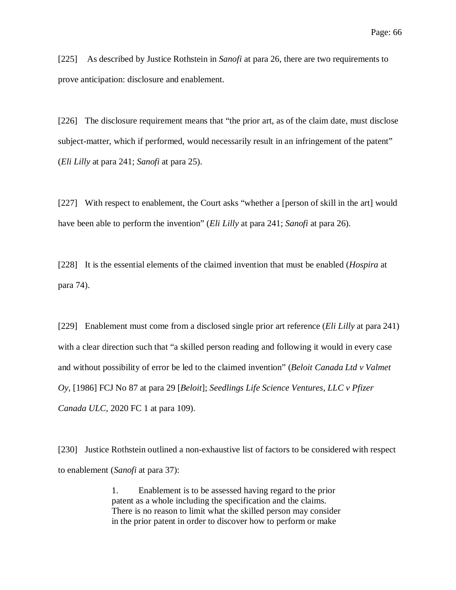[225] As described by Justice Rothstein in *Sanofi* at para 26, there are two requirements to prove anticipation: disclosure and enablement.

[226] The disclosure requirement means that "the prior art, as of the claim date, must disclose subject-matter, which if performed, would necessarily result in an infringement of the patent" (*Eli Lilly* at para 241; *Sanofi* at para 25).

[227] With respect to enablement, the Court asks "whether a [person of skill in the art] would have been able to perform the invention" (*Eli Lilly* at para 241; *Sanofi* at para 26).

[228] It is the essential elements of the claimed invention that must be enabled (*Hospira* at para 74).

[229] Enablement must come from a disclosed single prior art reference (*Eli Lilly* at para 241) with a clear direction such that "a skilled person reading and following it would in every case and without possibility of error be led to the claimed invention" (*Beloit Canada Ltd v Valmet Oy,* [1986] FCJ No 87 at para 29 [*Beloit*]; *Seedlings Life Science Ventures, LLC v Pfizer Canada ULC*, 2020 FC 1 at para 109).

[230] Justice Rothstein outlined a non-exhaustive list of factors to be considered with respect to enablement (*Sanofi* at para 37):

> 1. Enablement is to be assessed having regard to the prior patent as a whole including the specification and the claims. There is no reason to limit what the skilled person may consider in the prior patent in order to discover how to perform or make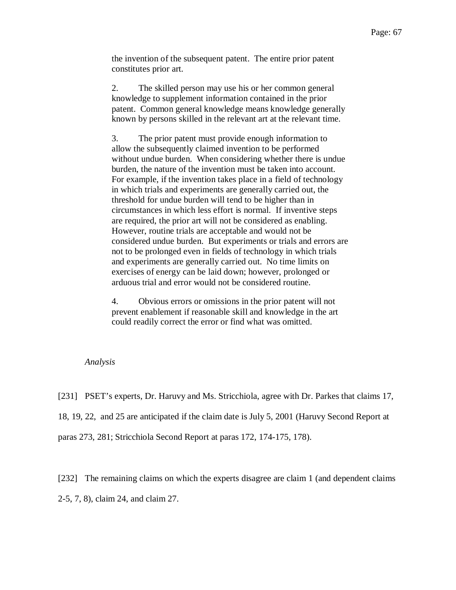the invention of the subsequent patent. The entire prior patent constitutes prior art.

2. The skilled person may use his or her common general knowledge to supplement information contained in the prior patent. Common general knowledge means knowledge generally known by persons skilled in the relevant art at the relevant time.

3. The prior patent must provide enough information to allow the subsequently claimed invention to be performed without undue burden. When considering whether there is undue burden, the nature of the invention must be taken into account. For example, if the invention takes place in a field of technology in which trials and experiments are generally carried out, the threshold for undue burden will tend to be higher than in circumstances in which less effort is normal. If inventive steps are required, the prior art will not be considered as enabling. However, routine trials are acceptable and would not be considered undue burden. But experiments or trials and errors are not to be prolonged even in fields of technology in which trials and experiments are generally carried out. No time limits on exercises of energy can be laid down; however, prolonged or arduous trial and error would not be considered routine.

4. Obvious errors or omissions in the prior patent will not prevent enablement if reasonable skill and knowledge in the art could readily correct the error or find what was omitted.

#### *Analysis*

[231] PSET's experts, Dr. Haruvy and Ms. Stricchiola, agree with Dr. Parkes that claims 17,

18, 19, 22, and 25 are anticipated if the claim date is July 5, 2001 (Haruvy Second Report at

paras 273, 281; Stricchiola Second Report at paras 172, 174-175, 178).

[232] The remaining claims on which the experts disagree are claim 1 (and dependent claims 2-5, 7, 8), claim 24, and claim 27.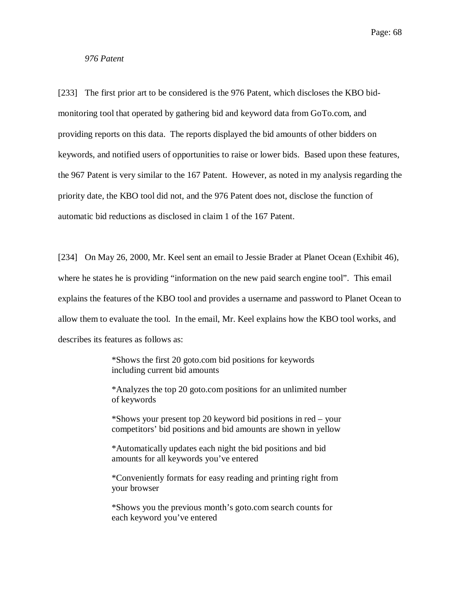Page: 68

*976 Patent*

[233] The first prior art to be considered is the 976 Patent, which discloses the KBO bidmonitoring tool that operated by gathering bid and keyword data from GoTo.com, and providing reports on this data. The reports displayed the bid amounts of other bidders on keywords, and notified users of opportunities to raise or lower bids. Based upon these features, the 967 Patent is very similar to the 167 Patent. However, as noted in my analysis regarding the priority date, the KBO tool did not, and the 976 Patent does not, disclose the function of automatic bid reductions as disclosed in claim 1 of the 167 Patent.

[234] On May 26, 2000, Mr. Keel sent an email to Jessie Brader at Planet Ocean (Exhibit 46), where he states he is providing "information on the new paid search engine tool". This email explains the features of the KBO tool and provides a username and password to Planet Ocean to allow them to evaluate the tool. In the email, Mr. Keel explains how the KBO tool works, and describes its features as follows as:

> \*Shows the first 20 goto.com bid positions for keywords including current bid amounts

\*Analyzes the top 20 goto.com positions for an unlimited number of keywords

\*Shows your present top 20 keyword bid positions in red – your competitors' bid positions and bid amounts are shown in yellow

\*Automatically updates each night the bid positions and bid amounts for all keywords you've entered

\*Conveniently formats for easy reading and printing right from your browser

\*Shows you the previous month's goto.com search counts for each keyword you've entered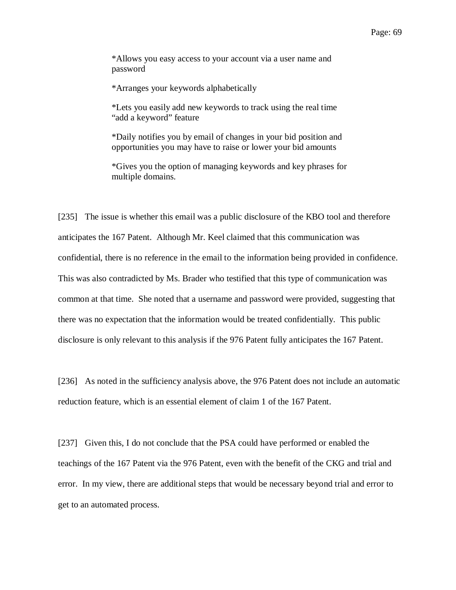\*Allows you easy access to your account via a user name and password

\*Arranges your keywords alphabetically

\*Lets you easily add new keywords to track using the real time "add a keyword" feature

\*Daily notifies you by email of changes in your bid position and opportunities you may have to raise or lower your bid amounts

\*Gives you the option of managing keywords and key phrases for multiple domains.

[235] The issue is whether this email was a public disclosure of the KBO tool and therefore anticipates the 167 Patent. Although Mr. Keel claimed that this communication was confidential, there is no reference in the email to the information being provided in confidence. This was also contradicted by Ms. Brader who testified that this type of communication was common at that time. She noted that a username and password were provided, suggesting that there was no expectation that the information would be treated confidentially. This public disclosure is only relevant to this analysis if the 976 Patent fully anticipates the 167 Patent.

[236] As noted in the sufficiency analysis above, the 976 Patent does not include an automatic reduction feature, which is an essential element of claim 1 of the 167 Patent.

[237] Given this, I do not conclude that the PSA could have performed or enabled the teachings of the 167 Patent via the 976 Patent, even with the benefit of the CKG and trial and error. In my view, there are additional steps that would be necessary beyond trial and error to get to an automated process.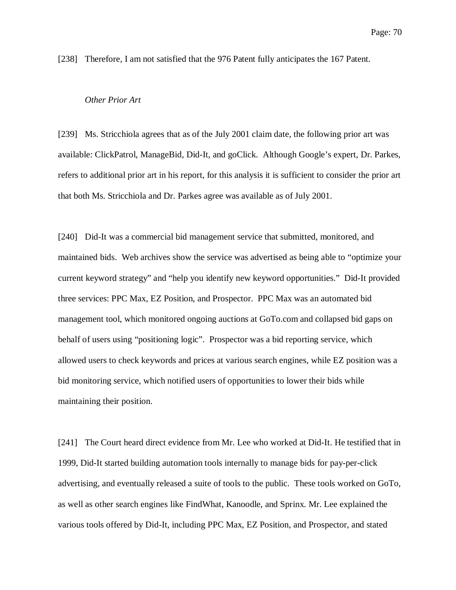[238] Therefore, I am not satisfied that the 976 Patent fully anticipates the 167 Patent.

### *Other Prior Art*

[239] Ms. Stricchiola agrees that as of the July 2001 claim date, the following prior art was available: ClickPatrol, ManageBid, Did-It, and goClick. Although Google's expert, Dr. Parkes, refers to additional prior art in his report, for this analysis it is sufficient to consider the prior art that both Ms. Stricchiola and Dr. Parkes agree was available as of July 2001.

[240] Did-It was a commercial bid management service that submitted, monitored, and maintained bids. Web archives show the service was advertised as being able to "optimize your current keyword strategy" and "help you identify new keyword opportunities." Did-It provided three services: PPC Max, EZ Position, and Prospector. PPC Max was an automated bid management tool, which monitored ongoing auctions at GoTo.com and collapsed bid gaps on behalf of users using "positioning logic". Prospector was a bid reporting service, which allowed users to check keywords and prices at various search engines, while EZ position was a bid monitoring service, which notified users of opportunities to lower their bids while maintaining their position.

[241] The Court heard direct evidence from Mr. Lee who worked at Did-It. He testified that in 1999, Did-It started building automation tools internally to manage bids for pay-per-click advertising, and eventually released a suite of tools to the public. These tools worked on GoTo, as well as other search engines like FindWhat, Kanoodle, and Sprinx. Mr. Lee explained the various tools offered by Did-It, including PPC Max, EZ Position, and Prospector, and stated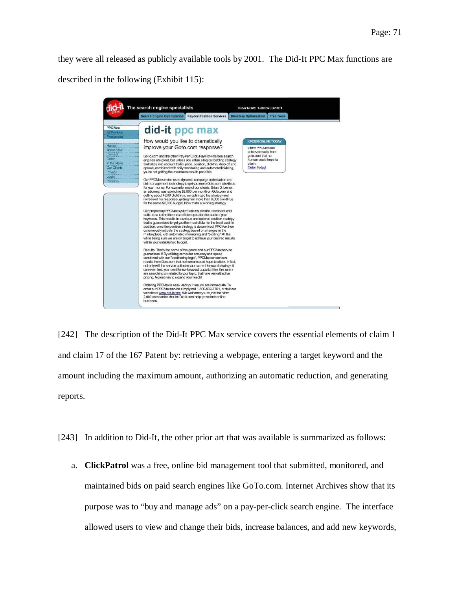they were all released as publicly available tools by 2001. The Did-It PPC Max functions are described in the following (Exhibit 115):



[242] The description of the Did-It PPC Max service covers the essential elements of claim 1 and claim 17 of the 167 Patent by: retrieving a webpage, entering a target keyword and the amount including the maximum amount, authorizing an automatic reduction, and generating reports.

[243] In addition to Did-It, the other prior art that was available is summarized as follows:

a. **ClickPatrol** was a free, online bid management tool that submitted, monitored, and maintained bids on paid search engines like GoTo.com. Internet Archives show that its purpose was to "buy and manage ads" on a pay-per-click search engine. The interface allowed users to view and change their bids, increase balances, and add new keywords,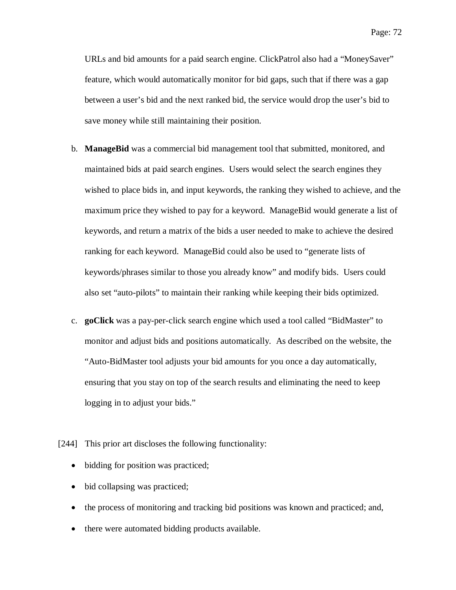Page: 72

URLs and bid amounts for a paid search engine. ClickPatrol also had a "MoneySaver" feature, which would automatically monitor for bid gaps, such that if there was a gap between a user's bid and the next ranked bid, the service would drop the user's bid to save money while still maintaining their position.

- b. **ManageBid** was a commercial bid management tool that submitted, monitored, and maintained bids at paid search engines. Users would select the search engines they wished to place bids in, and input keywords, the ranking they wished to achieve, and the maximum price they wished to pay for a keyword. ManageBid would generate a list of keywords, and return a matrix of the bids a user needed to make to achieve the desired ranking for each keyword. ManageBid could also be used to "generate lists of keywords/phrases similar to those you already know" and modify bids. Users could also set "auto-pilots" to maintain their ranking while keeping their bids optimized.
- c. **goClick** was a pay-per-click search engine which used a tool called "BidMaster" to monitor and adjust bids and positions automatically. As described on the website, the "Auto-BidMaster tool adjusts your bid amounts for you once a day automatically, ensuring that you stay on top of the search results and eliminating the need to keep logging in to adjust your bids."
- [244] This prior art discloses the following functionality:
	- bidding for position was practiced;
	- bid collapsing was practiced;
	- the process of monitoring and tracking bid positions was known and practiced; and,
	- there were automated bidding products available.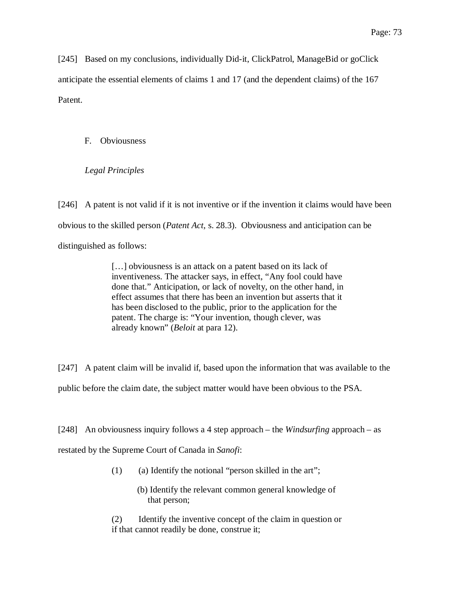[245] Based on my conclusions, individually Did-it, ClickPatrol, ManageBid or goClick anticipate the essential elements of claims 1 and 17 (and the dependent claims) of the 167 Patent.

F. Obviousness

*Legal Principles*

[246] A patent is not valid if it is not inventive or if the invention it claims would have been obvious to the skilled person (*Patent Act*, s. 28.3). Obviousness and anticipation can be distinguished as follows:

> [...] obviousness is an attack on a patent based on its lack of inventiveness. The attacker says, in effect, "Any fool could have done that." Anticipation, or lack of novelty, on the other hand, in effect assumes that there has been an invention but asserts that it has been disclosed to the public, prior to the application for the patent. The charge is: "Your invention, though clever, was already known" (*Beloit* at para 12).

[247] A patent claim will be invalid if, based upon the information that was available to the public before the claim date, the subject matter would have been obvious to the PSA.

[248] An obviousness inquiry follows a 4 step approach – the *Windsurfing* approach – as

restated by the Supreme Court of Canada in *Sanofi*:

- $(1)$  (a) Identify the notional "person skilled in the art";
	- (b) Identify the relevant common general knowledge of that person;

(2) Identify the inventive concept of the claim in question or if that cannot readily be done, construe it;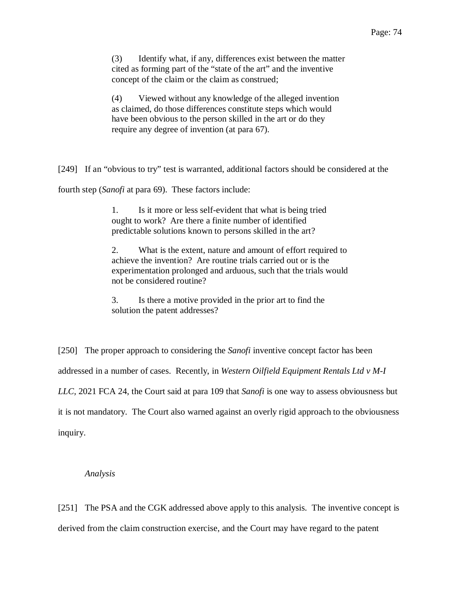(3) Identify what, if any, differences exist between the matter cited as forming part of the "state of the art" and the inventive concept of the claim or the claim as construed;

(4) Viewed without any knowledge of the alleged invention as claimed, do those differences constitute steps which would have been obvious to the person skilled in the art or do they require any degree of invention (at para 67).

[249] If an "obvious to try" test is warranted, additional factors should be considered at the

fourth step (*Sanofi* at para 69). These factors include:

1. Is it more or less self-evident that what is being tried ought to work? Are there a finite number of identified predictable solutions known to persons skilled in the art?

2. What is the extent, nature and amount of effort required to achieve the invention? Are routine trials carried out or is the experimentation prolonged and arduous, such that the trials would not be considered routine?

3. Is there a motive provided in the prior art to find the solution the patent addresses?

[250] The proper approach to considering the *Sanofi* inventive concept factor has been addressed in a number of cases. Recently, in *Western Oilfield Equipment Rentals Ltd v M-I LLC,* 2021 FCA 24, the Court said at para 109 that *Sanofi* is one way to assess obviousness but it is not mandatory. The Court also warned against an overly rigid approach to the obviousness inquiry.

#### *Analysis*

[251] The PSA and the CGK addressed above apply to this analysis. The inventive concept is derived from the claim construction exercise, and the Court may have regard to the patent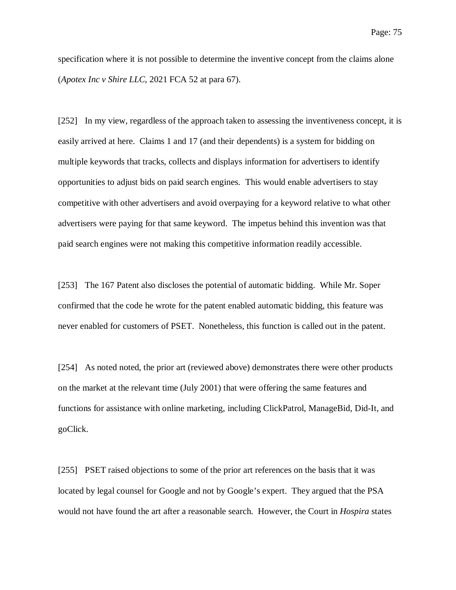specification where it is not possible to determine the inventive concept from the claims alone (*Apotex Inc v Shire LLC*, 2021 FCA 52 at para 67).

[252] In my view, regardless of the approach taken to assessing the inventiveness concept, it is easily arrived at here. Claims 1 and 17 (and their dependents) is a system for bidding on multiple keywords that tracks, collects and displays information for advertisers to identify opportunities to adjust bids on paid search engines. This would enable advertisers to stay competitive with other advertisers and avoid overpaying for a keyword relative to what other advertisers were paying for that same keyword. The impetus behind this invention was that paid search engines were not making this competitive information readily accessible.

[253] The 167 Patent also discloses the potential of automatic bidding. While Mr. Soper confirmed that the code he wrote for the patent enabled automatic bidding, this feature was never enabled for customers of PSET. Nonetheless, this function is called out in the patent.

[254] As noted noted, the prior art (reviewed above) demonstrates there were other products on the market at the relevant time (July 2001) that were offering the same features and functions for assistance with online marketing, including ClickPatrol, ManageBid, Did-It, and goClick.

[255] PSET raised objections to some of the prior art references on the basis that it was located by legal counsel for Google and not by Google's expert. They argued that the PSA would not have found the art after a reasonable search. However, the Court in *Hospira* states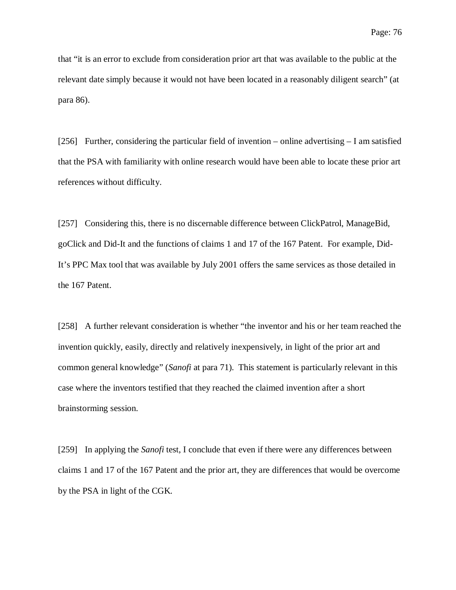that "it is an error to exclude from consideration prior art that was available to the public at the relevant date simply because it would not have been located in a reasonably diligent search" (at para 86).

[256] Further, considering the particular field of invention – online advertising – I am satisfied that the PSA with familiarity with online research would have been able to locate these prior art references without difficulty.

[257] Considering this, there is no discernable difference between ClickPatrol, ManageBid, goClick and Did-It and the functions of claims 1 and 17 of the 167 Patent. For example, Did-It's PPC Max tool that was available by July 2001 offers the same services as those detailed in the 167 Patent.

[258] A further relevant consideration is whether "the inventor and his or her team reached the invention quickly, easily, directly and relatively inexpensively, in light of the prior art and common general knowledge" (*Sanofi* at para 71). This statement is particularly relevant in this case where the inventors testified that they reached the claimed invention after a short brainstorming session.

[259] In applying the *Sanofi* test, I conclude that even if there were any differences between claims 1 and 17 of the 167 Patent and the prior art, they are differences that would be overcome by the PSA in light of the CGK.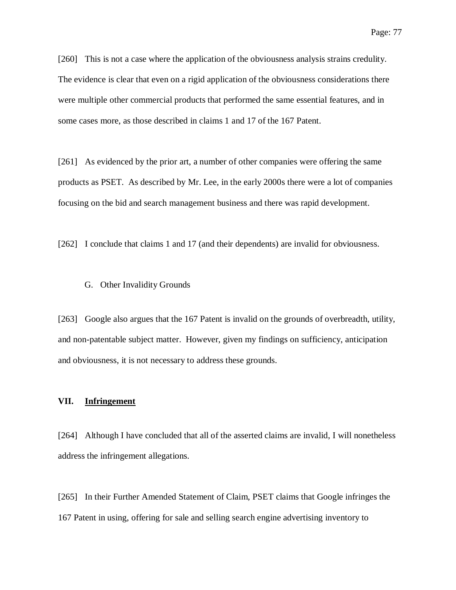[260] This is not a case where the application of the obviousness analysis strains credulity. The evidence is clear that even on a rigid application of the obviousness considerations there were multiple other commercial products that performed the same essential features, and in some cases more, as those described in claims 1 and 17 of the 167 Patent.

[261] As evidenced by the prior art, a number of other companies were offering the same products as PSET. As described by Mr. Lee, in the early 2000s there were a lot of companies focusing on the bid and search management business and there was rapid development.

[262] I conclude that claims 1 and 17 (and their dependents) are invalid for obviousness.

#### G. Other Invalidity Grounds

[263] Google also argues that the 167 Patent is invalid on the grounds of overbreadth, utility, and non-patentable subject matter. However, given my findings on sufficiency, anticipation and obviousness, it is not necessary to address these grounds.

#### **VII. Infringement**

[264] Although I have concluded that all of the asserted claims are invalid, I will nonetheless address the infringement allegations.

[265] In their Further Amended Statement of Claim, PSET claims that Google infringes the 167 Patent in using, offering for sale and selling search engine advertising inventory to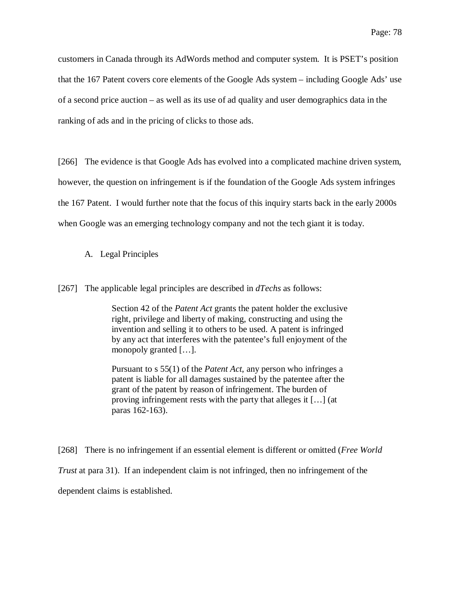customers in Canada through its AdWords method and computer system. It is PSET's position that the 167 Patent covers core elements of the Google Ads system – including Google Ads' use of a second price auction – as well as its use of ad quality and user demographics data in the ranking of ads and in the pricing of clicks to those ads.

[266] The evidence is that Google Ads has evolved into a complicated machine driven system, however, the question on infringement is if the foundation of the Google Ads system infringes the 167 Patent. I would further note that the focus of this inquiry starts back in the early 2000s when Google was an emerging technology company and not the tech giant it is today.

### A. Legal Principles

[267] The applicable legal principles are described in *dTechs* as follows:

Section 42 of the *Patent Act* grants the patent holder the exclusive right, privilege and liberty of making, constructing and using the invention and selling it to others to be used. A patent is infringed by any act that interferes with the patentee's full enjoyment of the monopoly granted […].

Pursuant to s 55(1) of the *Patent Act*, any person who infringes a patent is liable for all damages sustained by the patentee after the grant of the patent by reason of infringement. The burden of proving infringement rests with the party that alleges it […] (at paras 162-163).

[268] There is no infringement if an essential element is different or omitted (*Free World Trust* at para 31). If an independent claim is not infringed, then no infringement of the dependent claims is established.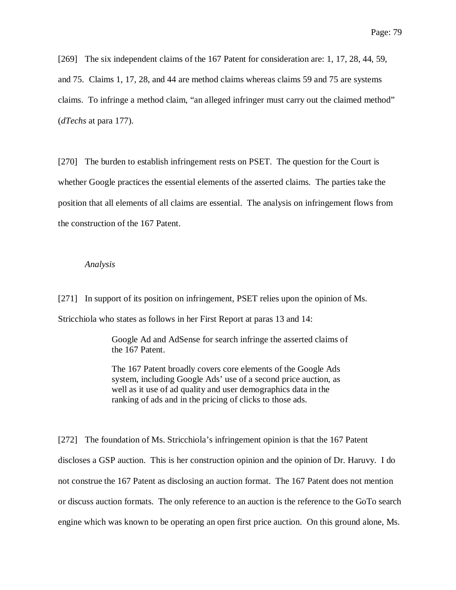[269] The six independent claims of the 167 Patent for consideration are: 1, 17, 28, 44, 59, and 75. Claims 1, 17, 28, and 44 are method claims whereas claims 59 and 75 are systems claims. To infringe a method claim, "an alleged infringer must carry out the claimed method" (*dTechs* at para 177).

[270] The burden to establish infringement rests on PSET. The question for the Court is whether Google practices the essential elements of the asserted claims. The parties take the position that all elements of all claims are essential. The analysis on infringement flows from the construction of the 167 Patent.

#### *Analysis*

[271] In support of its position on infringement, PSET relies upon the opinion of Ms. Stricchiola who states as follows in her First Report at paras 13 and 14:

> Google Ad and AdSense for search infringe the asserted claims of the 167 Patent.

The 167 Patent broadly covers core elements of the Google Ads system, including Google Ads' use of a second price auction, as well as it use of ad quality and user demographics data in the ranking of ads and in the pricing of clicks to those ads.

[272] The foundation of Ms. Stricchiola's infringement opinion is that the 167 Patent discloses a GSP auction. This is her construction opinion and the opinion of Dr. Haruvy. I do not construe the 167 Patent as disclosing an auction format. The 167 Patent does not mention or discuss auction formats. The only reference to an auction is the reference to the GoTo search engine which was known to be operating an open first price auction. On this ground alone, Ms.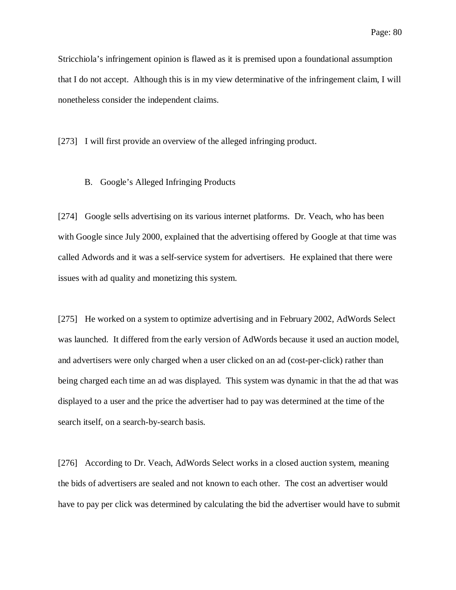Stricchiola's infringement opinion is flawed as it is premised upon a foundational assumption that I do not accept. Although this is in my view determinative of the infringement claim, I will nonetheless consider the independent claims.

[273] I will first provide an overview of the alleged infringing product.

#### B. Google's Alleged Infringing Products

[274] Google sells advertising on its various internet platforms. Dr. Veach, who has been with Google since July 2000, explained that the advertising offered by Google at that time was called Adwords and it was a self-service system for advertisers. He explained that there were issues with ad quality and monetizing this system.

[275] He worked on a system to optimize advertising and in February 2002, AdWords Select was launched. It differed from the early version of AdWords because it used an auction model, and advertisers were only charged when a user clicked on an ad (cost-per-click) rather than being charged each time an ad was displayed. This system was dynamic in that the ad that was displayed to a user and the price the advertiser had to pay was determined at the time of the search itself, on a search-by-search basis.

[276] According to Dr. Veach, AdWords Select works in a closed auction system, meaning the bids of advertisers are sealed and not known to each other. The cost an advertiser would have to pay per click was determined by calculating the bid the advertiser would have to submit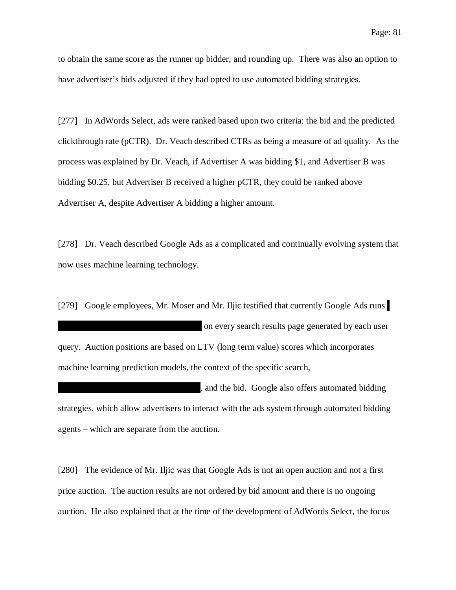to obtain the same score as the runner up bidder, and rounding up. There was also an option to have advertiser's bids adjusted if they had opted to use automated bidding strategies.

[277] In AdWords Select, ads were ranked based upon two criteria: the bid and the predicted clickthrough rate (pCTR). Dr. Veach described CTRs as being a measure of ad quality. As the process was explained by Dr. Veach, if Advertiser A was bidding \$1, and Advertiser B was bidding \$0.25, but Advertiser B received a higher pCTR, they could be ranked above Advertiser A, despite Advertiser A bidding a higher amount.

[278] Dr. Veach described Google Ads as a complicated and continually evolving system that now uses machine learning technology.

[279] Google employees, Mr. Moser and Mr. Iljic testified that currently Google Ads runs on every search results page generated by each user query. Auction positions are based on LTV (long term value) scores which incorporates machine learning prediction models, the context of the specific search,

, and the bid. Google also offers automated bidding strategies, which allow advertisers to interact with the ads system through automated bidding agents – which are separate from the auction.

[280] The evidence of Mr. Iljic was that Google Ads is not an open auction and not a first price auction. The auction results are not ordered by bid amount and there is no ongoing auction. He also explained that at the time of the development of AdWords Select, the focus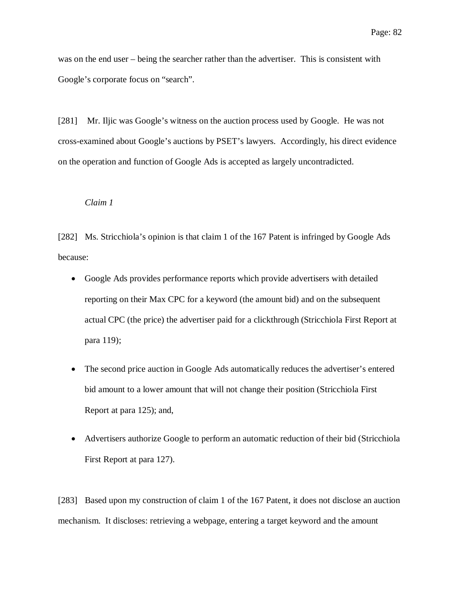was on the end user – being the searcher rather than the advertiser. This is consistent with Google's corporate focus on "search".

[281] Mr. Iljic was Google's witness on the auction process used by Google. He was not cross-examined about Google's auctions by PSET's lawyers. Accordingly, his direct evidence on the operation and function of Google Ads is accepted as largely uncontradicted.

### *Claim 1*

[282] Ms. Stricchiola's opinion is that claim 1 of the 167 Patent is infringed by Google Ads because:

- Google Ads provides performance reports which provide advertisers with detailed reporting on their Max CPC for a keyword (the amount bid) and on the subsequent actual CPC (the price) the advertiser paid for a clickthrough (Stricchiola First Report at para 119);
- The second price auction in Google Ads automatically reduces the advertiser's entered bid amount to a lower amount that will not change their position (Stricchiola First Report at para 125); and,
- Advertisers authorize Google to perform an automatic reduction of their bid (Stricchiola First Report at para 127).

[283] Based upon my construction of claim 1 of the 167 Patent, it does not disclose an auction mechanism. It discloses: retrieving a webpage, entering a target keyword and the amount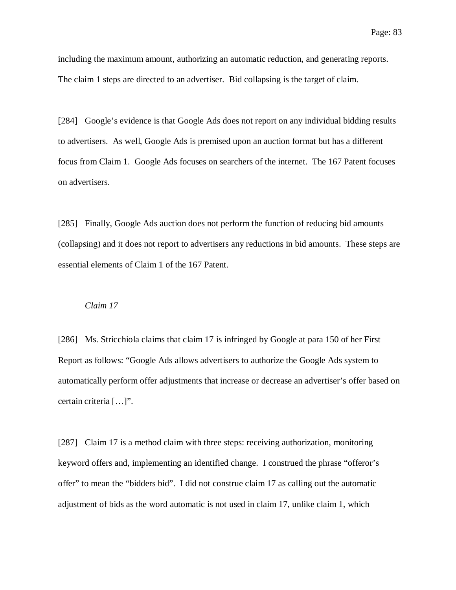including the maximum amount, authorizing an automatic reduction, and generating reports. The claim 1 steps are directed to an advertiser. Bid collapsing is the target of claim.

[284] Google's evidence is that Google Ads does not report on any individual bidding results to advertisers. As well, Google Ads is premised upon an auction format but has a different focus from Claim 1. Google Ads focuses on searchers of the internet. The 167 Patent focuses on advertisers.

[285] Finally, Google Ads auction does not perform the function of reducing bid amounts (collapsing) and it does not report to advertisers any reductions in bid amounts. These steps are essential elements of Claim 1 of the 167 Patent.

#### *Claim 17*

[286] Ms. Stricchiola claims that claim 17 is infringed by Google at para 150 of her First Report as follows: "Google Ads allows advertisers to authorize the Google Ads system to automatically perform offer adjustments that increase or decrease an advertiser's offer based on certain criteria […]".

[287] Claim 17 is a method claim with three steps: receiving authorization, monitoring keyword offers and, implementing an identified change. I construed the phrase "offeror's offer" to mean the "bidders bid". I did not construe claim 17 as calling out the automatic adjustment of bids as the word automatic is not used in claim 17, unlike claim 1, which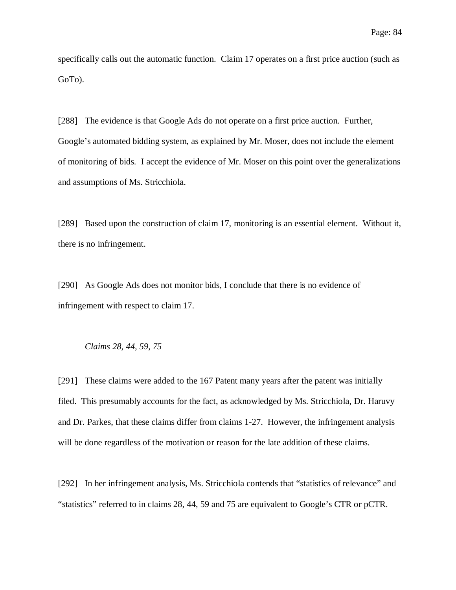specifically calls out the automatic function. Claim 17 operates on a first price auction (such as GoTo).

[288] The evidence is that Google Ads do not operate on a first price auction. Further, Google's automated bidding system, as explained by Mr. Moser, does not include the element of monitoring of bids. I accept the evidence of Mr. Moser on this point over the generalizations and assumptions of Ms. Stricchiola.

[289] Based upon the construction of claim 17, monitoring is an essential element. Without it, there is no infringement.

[290] As Google Ads does not monitor bids, I conclude that there is no evidence of infringement with respect to claim 17.

### *Claims 28, 44, 59, 75*

[291] These claims were added to the 167 Patent many years after the patent was initially filed. This presumably accounts for the fact, as acknowledged by Ms. Stricchiola, Dr. Haruvy and Dr. Parkes, that these claims differ from claims 1-27. However, the infringement analysis will be done regardless of the motivation or reason for the late addition of these claims.

[292] In her infringement analysis, Ms. Stricchiola contends that "statistics of relevance" and "statistics" referred to in claims 28, 44, 59 and 75 are equivalent to Google's CTR or pCTR.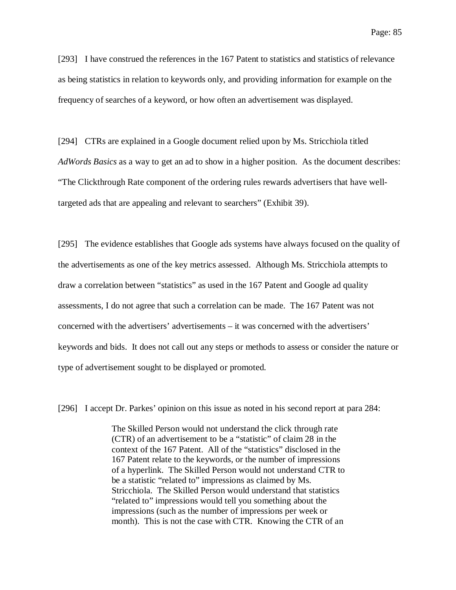[293] I have construed the references in the 167 Patent to statistics and statistics of relevance as being statistics in relation to keywords only, and providing information for example on the frequency of searches of a keyword, or how often an advertisement was displayed.

[294] CTRs are explained in a Google document relied upon by Ms. Stricchiola titled *AdWords Basics* as a way to get an ad to show in a higher position. As the document describes: "The Clickthrough Rate component of the ordering rules rewards advertisers that have welltargeted ads that are appealing and relevant to searchers" (Exhibit 39).

[295] The evidence establishes that Google ads systems have always focused on the quality of the advertisements as one of the key metrics assessed. Although Ms. Stricchiola attempts to draw a correlation between "statistics" as used in the 167 Patent and Google ad quality assessments, I do not agree that such a correlation can be made. The 167 Patent was not concerned with the advertisers' advertisements – it was concerned with the advertisers' keywords and bids. It does not call out any steps or methods to assess or consider the nature or type of advertisement sought to be displayed or promoted.

[296] I accept Dr. Parkes' opinion on this issue as noted in his second report at para 284:

The Skilled Person would not understand the click through rate (CTR) of an advertisement to be a "statistic" of claim 28 in the context of the 167 Patent. All of the "statistics" disclosed in the 167 Patent relate to the keywords, or the number of impressions of a hyperlink. The Skilled Person would not understand CTR to be a statistic "related to" impressions as claimed by Ms. Stricchiola. The Skilled Person would understand that statistics "related to" impressions would tell you something about the impressions (such as the number of impressions per week or month). This is not the case with CTR. Knowing the CTR of an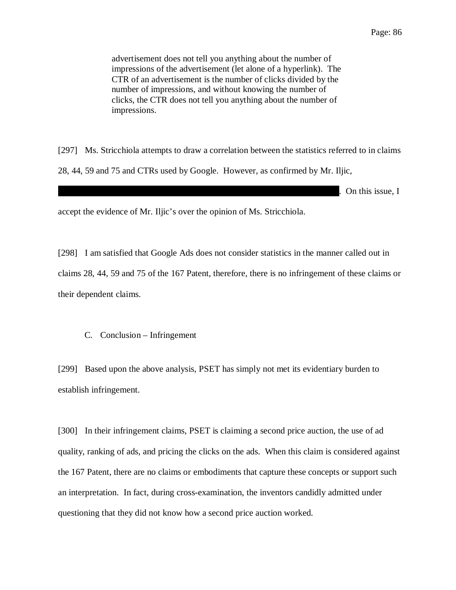advertisement does not tell you anything about the number of impressions of the advertisement (let alone of a hyperlink). The CTR of an advertisement is the number of clicks divided by the number of impressions, and without knowing the number of clicks, the CTR does not tell you anything about the number of impressions.

[297] Ms. Stricchiola attempts to draw a correlation between the statistics referred to in claims 28, 44, 59 and 75 and CTRs used by Google. However, as confirmed by Mr. Iljic,

. On this issue, I

accept the evidence of Mr. Iljic's over the opinion of Ms. Stricchiola.

[298] I am satisfied that Google Ads does not consider statistics in the manner called out in claims 28, 44, 59 and 75 of the 167 Patent, therefore, there is no infringement of these claims or their dependent claims.

### C. Conclusion – Infringement

[299] Based upon the above analysis, PSET has simply not met its evidentiary burden to establish infringement.

[300] In their infringement claims, PSET is claiming a second price auction, the use of ad quality, ranking of ads, and pricing the clicks on the ads. When this claim is considered against the 167 Patent, there are no claims or embodiments that capture these concepts or support such an interpretation. In fact, during cross-examination, the inventors candidly admitted under questioning that they did not know how a second price auction worked.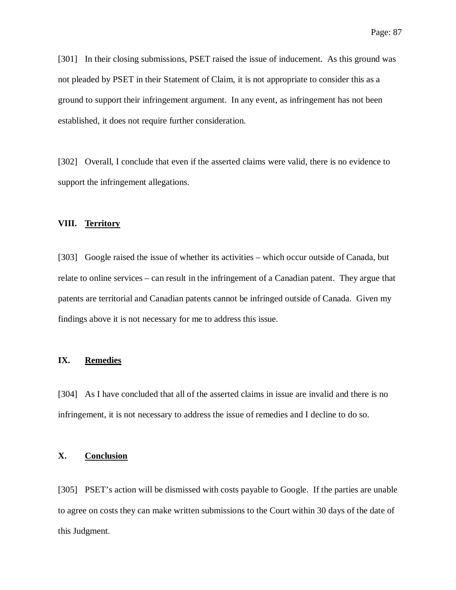[301] In their closing submissions, PSET raised the issue of inducement. As this ground was not pleaded by PSET in their Statement of Claim, it is not appropriate to consider this as a ground to support their infringement argument. In any event, as infringement has not been established, it does not require further consideration.

[302] Overall, I conclude that even if the asserted claims were valid, there is no evidence to support the infringement allegations.

# **VIII. Territory**

[303] Google raised the issue of whether its activities – which occur outside of Canada, but relate to online services – can result in the infringement of a Canadian patent. They argue that patents are territorial and Canadian patents cannot be infringed outside of Canada. Given my findings above it is not necessary for me to address this issue.

# **IX. Remedies**

[304] As I have concluded that all of the asserted claims in issue are invalid and there is no infringement, it is not necessary to address the issue of remedies and I decline to do so.

## **X. Conclusion**

[305] PSET's action will be dismissed with costs payable to Google. If the parties are unable to agree on costs they can make written submissions to the Court within 30 days of the date of this Judgment.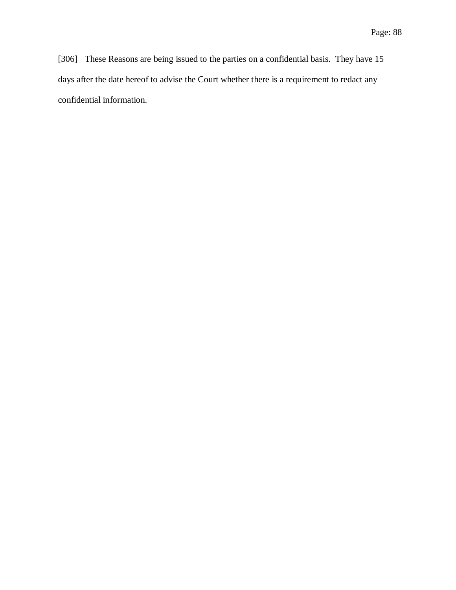[306] These Reasons are being issued to the parties on a confidential basis. They have 15 days after the date hereof to advise the Court whether there is a requirement to redact any confidential information.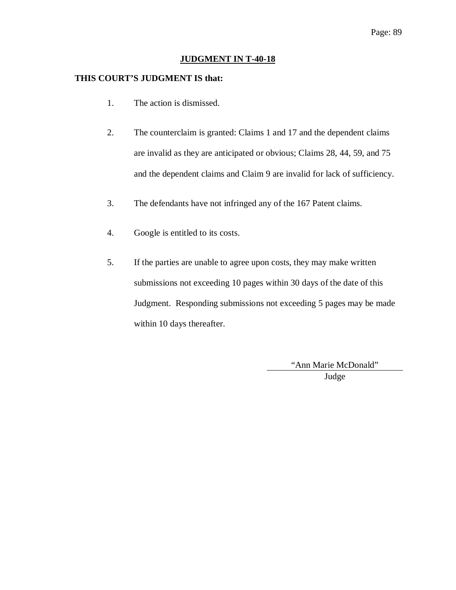## **JUDGMENT IN T-40-18**

# **THIS COURT'S JUDGMENT IS that:**

- 1. The action is dismissed.
- 2. The counterclaim is granted: Claims 1 and 17 and the dependent claims are invalid as they are anticipated or obvious; Claims 28, 44, 59, and 75 and the dependent claims and Claim 9 are invalid for lack of sufficiency.
- 3. The defendants have not infringed any of the 167 Patent claims.
- 4. Google is entitled to its costs.
- 5. If the parties are unable to agree upon costs, they may make written submissions not exceeding 10 pages within 30 days of the date of this Judgment. Responding submissions not exceeding 5 pages may be made within 10 days thereafter.

"Ann Marie McDonald" Judge